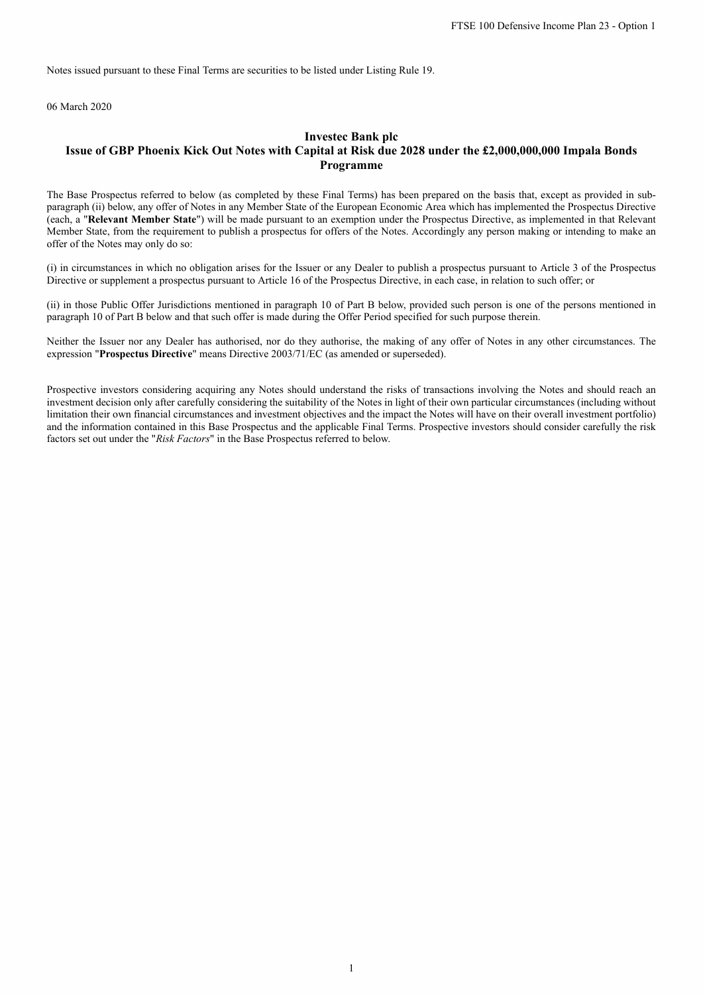Notes issued pursuant to these Final Terms are securities to be listed under Listing Rule 19.

06 March 2020

# **Investec Bank plc Issue of GBP Phoenix Kick Out Notes with Capital at Risk due 2028 under the £2,000,000,000 Impala Bonds Programme**

The Base Prospectus referred to below (as completed by these Final Terms) has been prepared on the basis that, except as provided in subparagraph (ii) below, any offer of Notes in any Member State of the European Economic Area which has implemented the Prospectus Directive (each, a "**Relevant Member State**") will be made pursuant to an exemption under the Prospectus Directive, as implemented in that Relevant Member State, from the requirement to publish a prospectus for offers of the Notes. Accordingly any person making or intending to make an offer of the Notes may only do so:

(i) in circumstances in which no obligation arises for the Issuer or any Dealer to publish a prospectus pursuant to Article 3 of the Prospectus Directive or supplement a prospectus pursuant to Article 16 of the Prospectus Directive, in each case, in relation to such offer; or

(ii) in those Public Offer Jurisdictions mentioned in paragraph 10 of Part B below, provided such person is one of the persons mentioned in paragraph 10 of Part B below and that such offer is made during the Offer Period specified for such purpose therein.

Neither the Issuer nor any Dealer has authorised, nor do they authorise, the making of any offer of Notes in any other circumstances. The expression "**Prospectus Directive**" means Directive 2003/71/EC (as amended or superseded).

Prospective investors considering acquiring any Notes should understand the risks of transactions involving the Notes and should reach an investment decision only after carefully considering the suitability of the Notes in light of their own particular circumstances (including without limitation their own financial circumstances and investment objectives and the impact the Notes will have on their overall investment portfolio) and the information contained in this Base Prospectus and the applicable Final Terms. Prospective investors should consider carefully the risk factors set out under the "*Risk Factors*" in the Base Prospectus referred to below.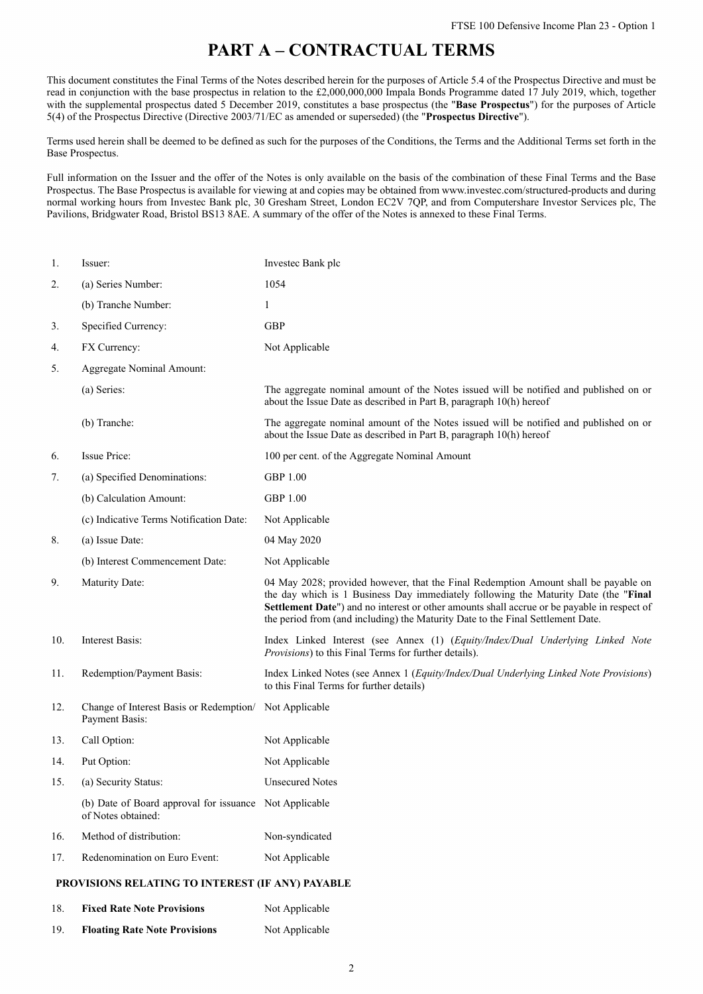# **PART A – CONTRACTUAL TERMS**

This document constitutes the Final Terms of the Notes described herein for the purposes of Article 5.4 of the Prospectus Directive and must be read in conjunction with the base prospectus in relation to the £2,000,000,000 Impala Bonds Programme dated 17 July 2019, which, together with the supplemental prospectus dated 5 December 2019, constitutes a base prospectus (the "**Base Prospectus**") for the purposes of Article 5(4) of the Prospectus Directive (Directive 2003/71/EC as amended or superseded) (the "**Prospectus Directive**").

Terms used herein shall be deemed to be defined as such for the purposes of the Conditions, the Terms and the Additional Terms set forth in the Base Prospectus.

Full information on the Issuer and the offer of the Notes is only available on the basis of the combination of these Final Terms and the Base Prospectus. The Base Prospectus is available for viewing at and copies may be obtained from www.investec.com/structured-products and during normal working hours from Investec Bank plc, 30 Gresham Street, London EC2V 7QP, and from Computershare Investor Services plc, The Pavilions, Bridgwater Road, Bristol BS13 8AE. A summary of the offer of the Notes is annexed to these Final Terms.

| 1.  | Issuer:                                                                      | Investec Bank plc                                                                                                                                                                                                                                                                                                                                            |  |  |
|-----|------------------------------------------------------------------------------|--------------------------------------------------------------------------------------------------------------------------------------------------------------------------------------------------------------------------------------------------------------------------------------------------------------------------------------------------------------|--|--|
| 2.  | (a) Series Number:                                                           | 1054                                                                                                                                                                                                                                                                                                                                                         |  |  |
|     | (b) Tranche Number:                                                          | $\mathbf{1}$                                                                                                                                                                                                                                                                                                                                                 |  |  |
| 3.  | Specified Currency:                                                          | <b>GBP</b>                                                                                                                                                                                                                                                                                                                                                   |  |  |
| 4.  | FX Currency:                                                                 | Not Applicable                                                                                                                                                                                                                                                                                                                                               |  |  |
| 5.  | Aggregate Nominal Amount:                                                    |                                                                                                                                                                                                                                                                                                                                                              |  |  |
|     | (a) Series:                                                                  | The aggregate nominal amount of the Notes issued will be notified and published on or<br>about the Issue Date as described in Part B, paragraph 10(h) hereof                                                                                                                                                                                                 |  |  |
|     | (b) Tranche:                                                                 | The aggregate nominal amount of the Notes issued will be notified and published on or<br>about the Issue Date as described in Part B, paragraph 10(h) hereof                                                                                                                                                                                                 |  |  |
| 6.  | Issue Price:                                                                 | 100 per cent. of the Aggregate Nominal Amount                                                                                                                                                                                                                                                                                                                |  |  |
| 7.  | (a) Specified Denominations:                                                 | <b>GBP 1.00</b>                                                                                                                                                                                                                                                                                                                                              |  |  |
|     | (b) Calculation Amount:                                                      | <b>GBP 1.00</b>                                                                                                                                                                                                                                                                                                                                              |  |  |
|     | (c) Indicative Terms Notification Date:                                      | Not Applicable                                                                                                                                                                                                                                                                                                                                               |  |  |
| 8.  | (a) Issue Date:                                                              | 04 May 2020                                                                                                                                                                                                                                                                                                                                                  |  |  |
|     | (b) Interest Commencement Date:                                              | Not Applicable                                                                                                                                                                                                                                                                                                                                               |  |  |
| 9.  | Maturity Date:                                                               | 04 May 2028; provided however, that the Final Redemption Amount shall be payable on<br>the day which is 1 Business Day immediately following the Maturity Date (the "Final<br>Settlement Date") and no interest or other amounts shall accrue or be payable in respect of<br>the period from (and including) the Maturity Date to the Final Settlement Date. |  |  |
| 10. | Interest Basis:                                                              | Index Linked Interest (see Annex (1) (Equity/Index/Dual Underlying Linked Note<br><i>Provisions</i> ) to this Final Terms for further details).                                                                                                                                                                                                              |  |  |
| 11. | Redemption/Payment Basis:                                                    | Index Linked Notes (see Annex 1 ( <i>Equity/Index/Dual Underlying Linked Note Provisions</i> )<br>to this Final Terms for further details)                                                                                                                                                                                                                   |  |  |
| 12. | Change of Interest Basis or Redemption/ Not Applicable<br>Payment Basis:     |                                                                                                                                                                                                                                                                                                                                                              |  |  |
| 13. | Call Option:                                                                 | Not Applicable                                                                                                                                                                                                                                                                                                                                               |  |  |
| 14. | Put Option:                                                                  | Not Applicable                                                                                                                                                                                                                                                                                                                                               |  |  |
| 15. | (a) Security Status:                                                         | <b>Unsecured Notes</b>                                                                                                                                                                                                                                                                                                                                       |  |  |
|     | (b) Date of Board approval for issuance Not Applicable<br>of Notes obtained: |                                                                                                                                                                                                                                                                                                                                                              |  |  |
| 16. | Method of distribution:                                                      | Non-syndicated                                                                                                                                                                                                                                                                                                                                               |  |  |
| 17. | Redenomination on Euro Event:                                                | Not Applicable                                                                                                                                                                                                                                                                                                                                               |  |  |
|     | PROVISIONS RELATING TO INTEREST (IF ANY) PAYABLE                             |                                                                                                                                                                                                                                                                                                                                                              |  |  |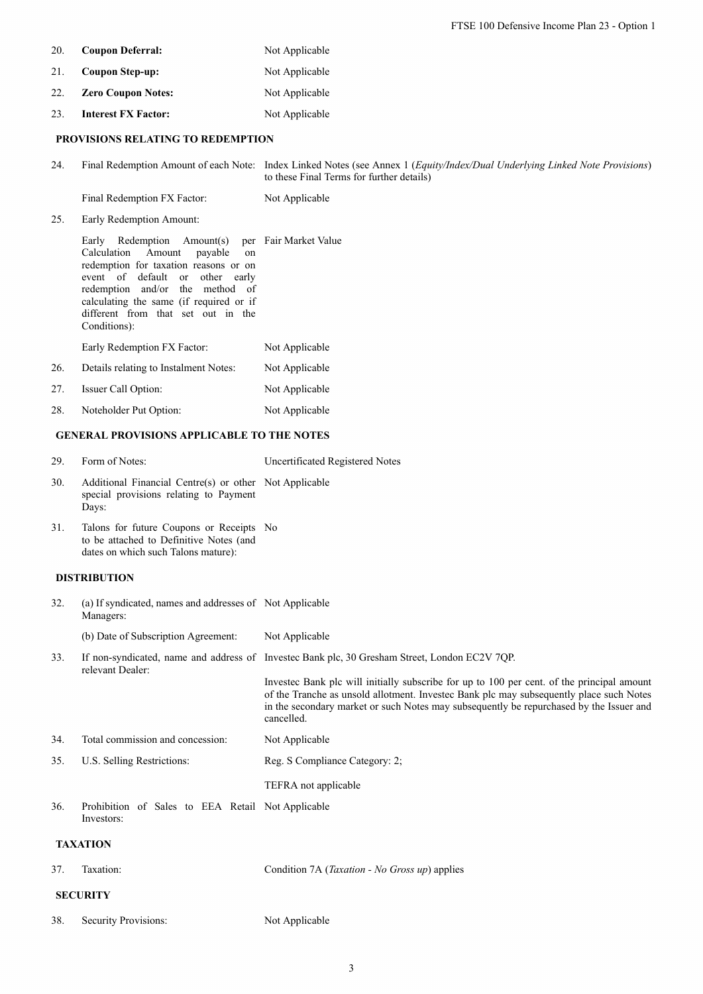FTSE 100 Defensive Income Plan 23 - Option 1

- 20. **Coupon Deferral:** Not Applicable
- 21. **Coupon Step-up:** Not Applicable
- 22. **Zero Coupon Notes:** Not Applicable
- 23. **Interest FX Factor:** Not Applicable

# **PROVISIONS RELATING TO REDEMPTION**

24. Final Redemption Amount of each Note: Index Linked Notes (see Annex 1 (*Equity/Index/Dual Underlying Linked Note Provisions*) to these Final Terms for further details)

Final Redemption FX Factor: Not Applicable

25. Early Redemption Amount:

|     | Early Redemption Amount(s) per Fair Market Value |                |
|-----|--------------------------------------------------|----------------|
|     | Calculation Amount<br>payable on                 |                |
|     | redemption for taxation reasons or on            |                |
|     | event of default or other early                  |                |
|     | redemption and/or the method of                  |                |
|     | calculating the same (if required or if          |                |
|     | different from that set out in the               |                |
|     | Conditions):                                     |                |
|     | Early Redemption FX Factor:                      | Not Applicable |
| 26. | Details relating to Instalment Notes:            | Not Applicable |
| 27. | Issuer Call Option:                              | Not Applicable |
|     |                                                  |                |

28. Noteholder Put Option: Not Applicable

# **GENERAL PROVISIONS APPLICABLE TO THE NOTES**

| 29. | Form of Notes:                                                                                            | Uncertificated Registered Notes |
|-----|-----------------------------------------------------------------------------------------------------------|---------------------------------|
| 30. | Additional Financial Centre(s) or other Not Applicable<br>special provisions relating to Payment<br>Days: |                                 |
| 31. | Talons for future Coupons or Receipts No                                                                  |                                 |

to be attached to Definitive Notes (and dates on which such Talons mature):

## **DISTRIBUTION**

| 32. | (a) If syndicated, names and addresses of Not Applicable<br>Managers: |                                                                                                                                                                                                                                                                                                |
|-----|-----------------------------------------------------------------------|------------------------------------------------------------------------------------------------------------------------------------------------------------------------------------------------------------------------------------------------------------------------------------------------|
|     | (b) Date of Subscription Agreement:                                   | Not Applicable                                                                                                                                                                                                                                                                                 |
| 33. | relevant Dealer:                                                      | If non-syndicated, name and address of Invested Bank plc, 30 Gresham Street, London EC2V 7QP.                                                                                                                                                                                                  |
|     |                                                                       | Invested Bank plc will initially subscribe for up to 100 per cent. of the principal amount<br>of the Tranche as unsold allotment. Invested Bank plc may subsequently place such Notes<br>in the secondary market or such Notes may subsequently be repurchased by the Issuer and<br>cancelled. |
| 34. | Total commission and concession:                                      | Not Applicable                                                                                                                                                                                                                                                                                 |
| 35. | U.S. Selling Restrictions:                                            | Reg. S Compliance Category: 2;                                                                                                                                                                                                                                                                 |
|     |                                                                       | TEFRA not applicable                                                                                                                                                                                                                                                                           |
| 36. | Prohibition of Sales to EEA Retail Not Applicable<br>Investors:       |                                                                                                                                                                                                                                                                                                |
|     | <b>TAXATION</b>                                                       |                                                                                                                                                                                                                                                                                                |
| 37. | Taxation:                                                             | Condition 7A ( <i>Taxation - No Gross up</i> ) applies                                                                                                                                                                                                                                         |
|     | <b>SECURITY</b>                                                       |                                                                                                                                                                                                                                                                                                |

38. Security Provisions: Not Applicable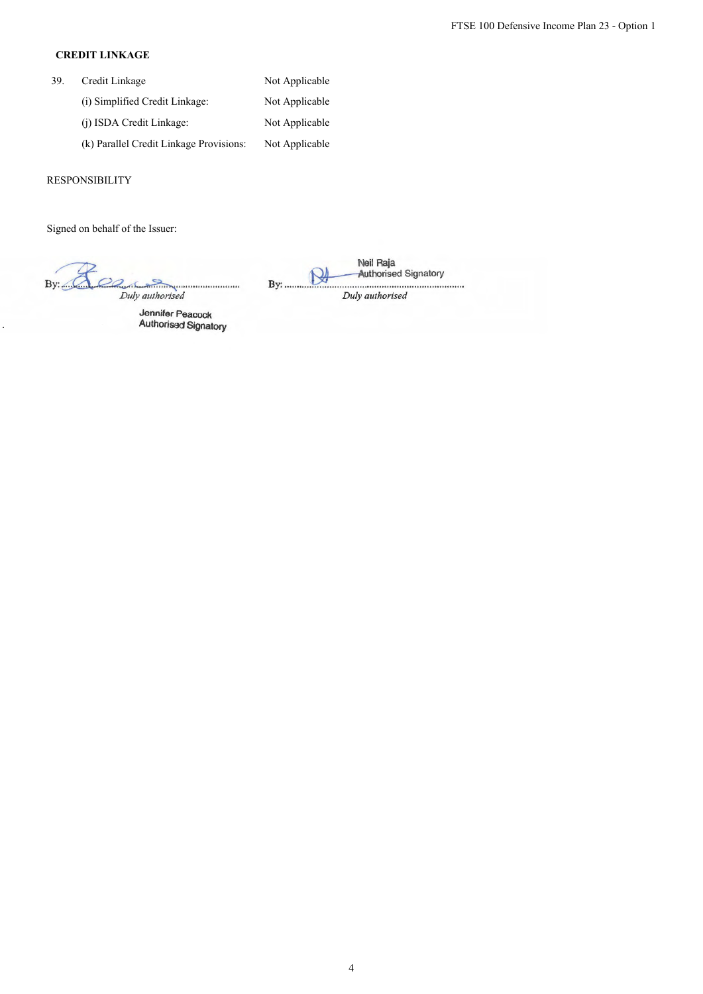# **CREDIT LINKAGE**

| 39. | Credit Linkage                          | Not Applicable |
|-----|-----------------------------------------|----------------|
|     | (i) Simplified Credit Linkage:          | Not Applicable |
|     | (i) ISDA Credit Linkage:                | Not Applicable |
|     | (k) Parallel Credit Linkage Provisions: | Not Applicable |

# RESPONSIBILITY

Signed on behalf of the Issuer:

By: <u>COO by:</u><br>Duly authorised

Jennifer Peacock Authorised Signatory

Neil Raja **NAL** Authorised Signatory By: ....................................................................... . *Duly authorised*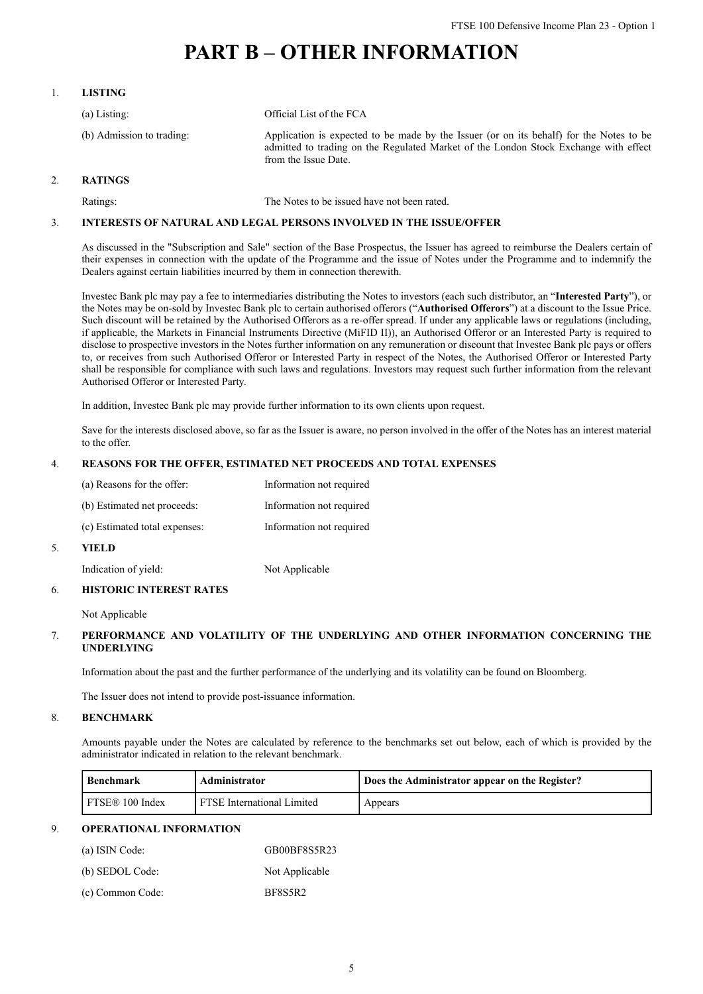# **PART B – OTHER INFORMATION**

## 1. **LISTING**

| $(a)$ Listing:            | Official List of the FCA                                                                                                                                                                                |
|---------------------------|---------------------------------------------------------------------------------------------------------------------------------------------------------------------------------------------------------|
| (b) Admission to trading: | Application is expected to be made by the Issuer (or on its behalf) for the Notes to be<br>admitted to trading on the Regulated Market of the London Stock Exchange with effect<br>from the Issue Date. |

### 2. **RATINGS**

Ratings: The Notes to be issued have not been rated.

### 3. **INTERESTS OF NATURAL AND LEGAL PERSONS INVOLVED IN THE ISSUE/OFFER**

As discussed in the "Subscription and Sale" section of the Base Prospectus, the Issuer has agreed to reimburse the Dealers certain of their expenses in connection with the update of the Programme and the issue of Notes under the Programme and to indemnify the Dealers against certain liabilities incurred by them in connection therewith.

Investec Bank plc may pay a fee to intermediaries distributing the Notes to investors (each such distributor, an "**Interested Party**"), or the Notes may be on-sold by Investec Bank plc to certain authorised offerors ("**Authorised Offerors**") at a discount to the Issue Price. Such discount will be retained by the Authorised Offerors as a re-offer spread. If under any applicable laws or regulations (including, if applicable, the Markets in Financial Instruments Directive (MiFID II)), an Authorised Offeror or an Interested Party is required to disclose to prospective investors in the Notes further information on any remuneration or discount that Investec Bank plc pays or offers to, or receives from such Authorised Offeror or Interested Party in respect of the Notes, the Authorised Offeror or Interested Party shall be responsible for compliance with such laws and regulations. Investors may request such further information from the relevant Authorised Offeror or Interested Party.

In addition, Investec Bank plc may provide further information to its own clients upon request.

Save for the interests disclosed above, so far as the Issuer is aware, no person involved in the offer of the Notes has an interest material to the offer.

#### 4. **REASONS FOR THE OFFER, ESTIMATED NET PROCEEDS AND TOTAL EXPENSES**

| 5. | YIEL D                        |                          |
|----|-------------------------------|--------------------------|
|    | (c) Estimated total expenses: | Information not required |
|    | (b) Estimated net proceeds:   | Information not required |
|    | (a) Reasons for the offer:    | Information not required |

Indication of yield: Not Applicable

### 6. **HISTORIC INTEREST RATES**

Not Applicable

### 7. **PERFORMANCE AND VOLATILITY OF THE UNDERLYING AND OTHER INFORMATION CONCERNING THE UNDERLYING**

Information about the past and the further performance of the underlying and its volatility can be found on Bloomberg.

The Issuer does not intend to provide post-issuance information.

#### 8. **BENCHMARK**

Amounts payable under the Notes are calculated by reference to the benchmarks set out below, each of which is provided by the administrator indicated in relation to the relevant benchmark.

| Benchmark       | Administrator                     | Does the Administrator appear on the Register? |
|-----------------|-----------------------------------|------------------------------------------------|
| FTSE® 100 Index | <b>FTSE</b> International Limited | Appears                                        |

### 9. **OPERATIONAL INFORMATION**

| (a) ISIN Code:   | GB00BF8S5R23   |
|------------------|----------------|
| (b) SEDOL Code:  | Not Applicable |
| (c) Common Code: | BF8S5R2        |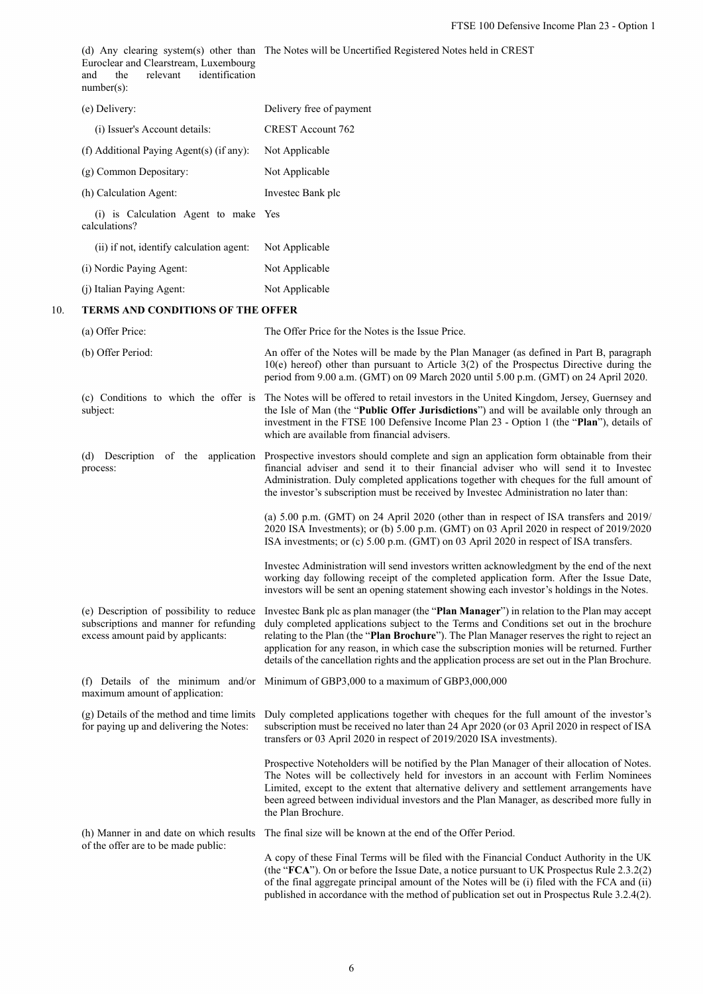|                                                  | Euroclear and Clearstream, Luxembourg<br>identification<br>the<br>relevant<br>and<br>$number(s)$ :                      | (d) Any clearing system(s) other than The Notes will be Uncertified Registered Notes held in CREST                                                                                                                                                                                                                                                                                                                                                                                      |  |
|--------------------------------------------------|-------------------------------------------------------------------------------------------------------------------------|-----------------------------------------------------------------------------------------------------------------------------------------------------------------------------------------------------------------------------------------------------------------------------------------------------------------------------------------------------------------------------------------------------------------------------------------------------------------------------------------|--|
|                                                  | (e) Delivery:                                                                                                           | Delivery free of payment                                                                                                                                                                                                                                                                                                                                                                                                                                                                |  |
|                                                  | (i) Issuer's Account details:                                                                                           | <b>CREST Account 762</b>                                                                                                                                                                                                                                                                                                                                                                                                                                                                |  |
|                                                  | (f) Additional Paying Agent(s) (if any):                                                                                | Not Applicable                                                                                                                                                                                                                                                                                                                                                                                                                                                                          |  |
|                                                  | (g) Common Depositary:                                                                                                  | Not Applicable                                                                                                                                                                                                                                                                                                                                                                                                                                                                          |  |
|                                                  | (h) Calculation Agent:                                                                                                  | Invested Bank plc                                                                                                                                                                                                                                                                                                                                                                                                                                                                       |  |
|                                                  | (i) is Calculation Agent to make Yes<br>calculations?                                                                   |                                                                                                                                                                                                                                                                                                                                                                                                                                                                                         |  |
|                                                  | (ii) if not, identify calculation agent:                                                                                | Not Applicable                                                                                                                                                                                                                                                                                                                                                                                                                                                                          |  |
|                                                  | (i) Nordic Paying Agent:                                                                                                | Not Applicable                                                                                                                                                                                                                                                                                                                                                                                                                                                                          |  |
|                                                  | (j) Italian Paying Agent:                                                                                               | Not Applicable                                                                                                                                                                                                                                                                                                                                                                                                                                                                          |  |
| 10.                                              | TERMS AND CONDITIONS OF THE OFFER                                                                                       |                                                                                                                                                                                                                                                                                                                                                                                                                                                                                         |  |
|                                                  | (a) Offer Price:                                                                                                        | The Offer Price for the Notes is the Issue Price.                                                                                                                                                                                                                                                                                                                                                                                                                                       |  |
|                                                  | (b) Offer Period:                                                                                                       | An offer of the Notes will be made by the Plan Manager (as defined in Part B, paragraph<br>$10(e)$ hereof) other than pursuant to Article 3(2) of the Prospectus Directive during the<br>period from 9.00 a.m. (GMT) on 09 March 2020 until 5.00 p.m. (GMT) on 24 April 2020.                                                                                                                                                                                                           |  |
| (c) Conditions to which the offer is<br>subject: |                                                                                                                         | The Notes will be offered to retail investors in the United Kingdom, Jersey, Guernsey and<br>the Isle of Man (the "Public Offer Jurisdictions") and will be available only through an<br>investment in the FTSE 100 Defensive Income Plan 23 - Option 1 (the "Plan"), details of<br>which are available from financial advisers.                                                                                                                                                        |  |
|                                                  | process:                                                                                                                | (d) Description of the application Prospective investors should complete and sign an application form obtainable from their<br>financial adviser and send it to their financial adviser who will send it to Invested<br>Administration. Duly completed applications together with cheques for the full amount of<br>the investor's subscription must be received by Investec Administration no later than:                                                                              |  |
|                                                  |                                                                                                                         | (a) 5.00 p.m. (GMT) on 24 April 2020 (other than in respect of ISA transfers and 2019/<br>2020 ISA Investments); or (b) 5.00 p.m. (GMT) on 03 April 2020 in respect of 2019/2020<br>ISA investments; or (c) 5.00 p.m. (GMT) on 03 April 2020 in respect of ISA transfers.                                                                                                                                                                                                               |  |
|                                                  |                                                                                                                         | Invested Administration will send investors written acknowledgment by the end of the next<br>working day following receipt of the completed application form. After the Issue Date,<br>investors will be sent an opening statement showing each investor's holdings in the Notes.                                                                                                                                                                                                       |  |
|                                                  | (e) Description of possibility to reduce<br>subscriptions and manner for refunding<br>excess amount paid by applicants: | Invested Bank plc as plan manager (the "Plan Manager") in relation to the Plan may accept<br>duly completed applications subject to the Terms and Conditions set out in the brochure<br>relating to the Plan (the "Plan Brochure"). The Plan Manager reserves the right to reject an<br>application for any reason, in which case the subscription monies will be returned. Further<br>details of the cancellation rights and the application process are set out in the Plan Brochure. |  |
|                                                  | maximum amount of application:                                                                                          | (f) Details of the minimum and/or Minimum of GBP3,000 to a maximum of GBP3,000,000                                                                                                                                                                                                                                                                                                                                                                                                      |  |
|                                                  | (g) Details of the method and time limits<br>for paying up and delivering the Notes:                                    | Duly completed applications together with cheques for the full amount of the investor's<br>subscription must be received no later than 24 Apr 2020 (or 03 April 2020 in respect of ISA<br>transfers or 03 April 2020 in respect of 2019/2020 ISA investments).                                                                                                                                                                                                                          |  |
|                                                  |                                                                                                                         | Prospective Noteholders will be notified by the Plan Manager of their allocation of Notes.<br>The Notes will be collectively held for investors in an account with Ferlim Nominees<br>Limited, except to the extent that alternative delivery and settlement arrangements have<br>been agreed between individual investors and the Plan Manager, as described more fully in<br>the Plan Brochure.                                                                                       |  |
|                                                  | (h) Manner in and date on which results                                                                                 | The final size will be known at the end of the Offer Period.                                                                                                                                                                                                                                                                                                                                                                                                                            |  |
|                                                  | of the offer are to be made public:                                                                                     | A copy of these Final Terms will be filed with the Financial Conduct Authority in the UK<br>(the "FCA"). On or before the Issue Date, a notice pursuant to UK Prospectus Rule 2.3.2(2)<br>of the final aggregate principal amount of the Notes will be (i) filed with the FCA and (ii)                                                                                                                                                                                                  |  |

published in accordance with the method of publication set out in Prospectus Rule 3.2.4(2).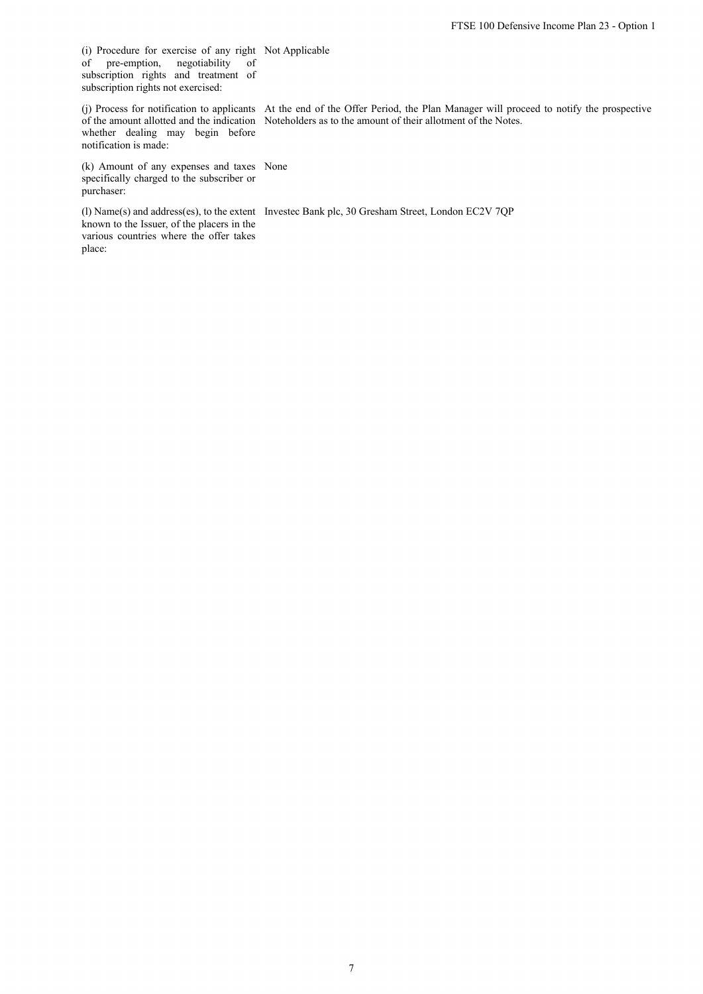(i) Procedure for exercise of any right Not Applicable of pre-emption, negotiability of subscription rights and treatment of subscription rights not exercised:

whether dealing may begin before notification is made:

(j) Process for notification to applicants At the end of the Offer Period, the Plan Manager will proceed to notify the prospective of the amount allotted and the indication Noteholders as to the amount of their allotment of the Notes.

(k) Amount of any expenses and taxes None specifically charged to the subscriber or purchaser:

known to the Issuer, of the placers in the various countries where the offer takes place:

(l) Name(s) and address(es), to the extent Investec Bank plc, 30 Gresham Street, London EC2V 7QP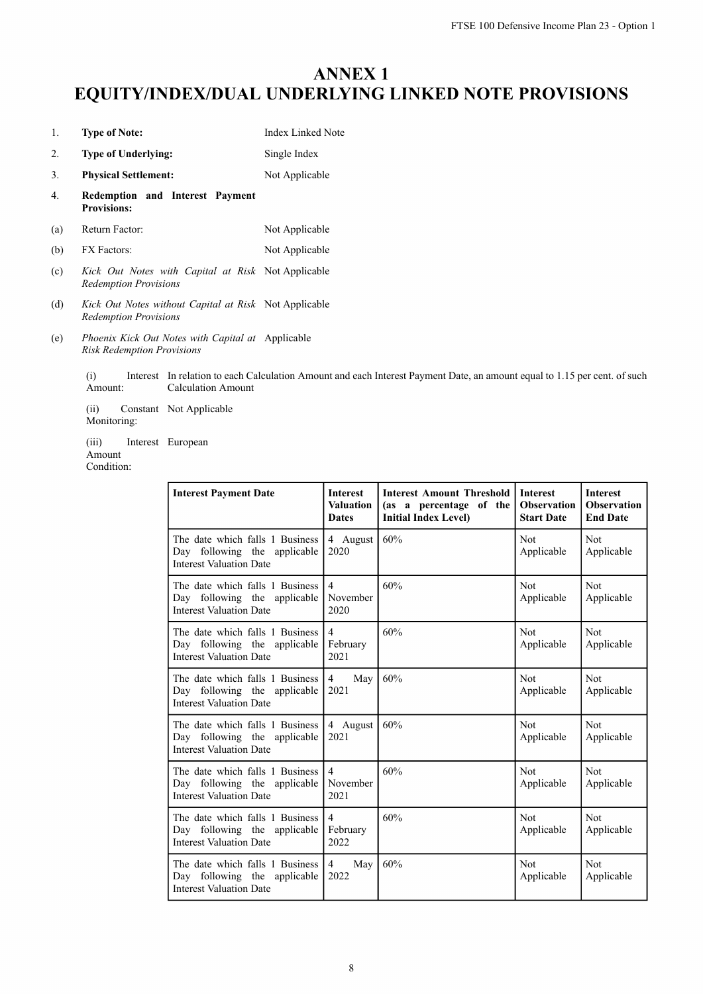# **ANNEX 1 EQUITY/INDEX/DUAL UNDERLYING LINKED NOTE PROVISIONS**

| 1.  | <b>Type of Note:</b>                                                                  | <b>Index Linked Note</b> |
|-----|---------------------------------------------------------------------------------------|--------------------------|
| 2.  | <b>Type of Underlying:</b>                                                            | Single Index             |
| 3.  | <b>Physical Settlement:</b>                                                           | Not Applicable           |
| 4.  | Redemption and Interest Payment<br><b>Provisions:</b>                                 |                          |
| (a) | Return Factor:                                                                        | Not Applicable           |
| (b) | <b>FX</b> Factors:                                                                    | Not Applicable           |
| (c) | Kick Out Notes with Capital at Risk Not Applicable<br><b>Redemption Provisions</b>    |                          |
| (d) | Kick Out Notes without Capital at Risk Not Applicable<br><b>Redemption Provisions</b> |                          |

(e) *Phoenix Kick Out Notes with Capital at* Applicable *Risk Redemption Provisions*

> (i) Interest In relation to each Calculation Amount and each Interest Payment Date, an amount equal to 1.15 per cent. of such Amount: Calculation Amount

(ii) Constant Not Applicable Monitoring:

(iii) Interest European

Amount Condition:

| <b>Interest Payment Date</b>                                                                      | <b>Interest</b><br><b>Valuation</b><br><b>Dates</b> | <b>Interest Amount Threshold</b><br>(as a percentage of the<br><b>Initial Index Level)</b> | <b>Interest</b><br><b>Observation</b><br><b>Start Date</b> | <b>Interest</b><br><b>Observation</b><br><b>End Date</b> |
|---------------------------------------------------------------------------------------------------|-----------------------------------------------------|--------------------------------------------------------------------------------------------|------------------------------------------------------------|----------------------------------------------------------|
| The date which falls 1 Business<br>Day following the applicable<br><b>Interest Valuation Date</b> | 4 August<br>2020                                    | 60%                                                                                        | <b>Not</b><br>Applicable                                   | Not<br>Applicable                                        |
| The date which falls 1 Business<br>Day following the applicable<br><b>Interest Valuation Date</b> | $\overline{4}$<br>November<br>2020                  | 60%                                                                                        | <b>Not</b><br>Applicable                                   | <b>Not</b><br>Applicable                                 |
| The date which falls 1 Business<br>Day following the applicable<br><b>Interest Valuation Date</b> | $\overline{4}$<br>February<br>2021                  | 60%                                                                                        | <b>Not</b><br>Applicable                                   | <b>Not</b><br>Applicable                                 |
| The date which falls 1 Business<br>Day following the applicable<br><b>Interest Valuation Date</b> | $\overline{4}$<br>May  <br>2021                     | 60%                                                                                        | <b>Not</b><br>Applicable                                   | <b>Not</b><br>Applicable                                 |
| The date which falls 1 Business<br>Day following the applicable<br><b>Interest Valuation Date</b> | 4 August<br>2021                                    | 60%                                                                                        | <b>Not</b><br>Applicable                                   | <b>Not</b><br>Applicable                                 |
| The date which falls 1 Business<br>Day following the applicable<br><b>Interest Valuation Date</b> | $\overline{4}$<br>November<br>2021                  | 60%                                                                                        | <b>Not</b><br>Applicable                                   | <b>Not</b><br>Applicable                                 |
| The date which falls 1 Business<br>Day following the applicable<br><b>Interest Valuation Date</b> | $\overline{4}$<br>February<br>2022                  | 60%                                                                                        | <b>Not</b><br>Applicable                                   | <b>Not</b><br>Applicable                                 |
| The date which falls 1 Business<br>Day following the applicable<br><b>Interest Valuation Date</b> | $\overline{4}$<br>May<br>2022                       | 60%                                                                                        | <b>Not</b><br>Applicable                                   | <b>Not</b><br>Applicable                                 |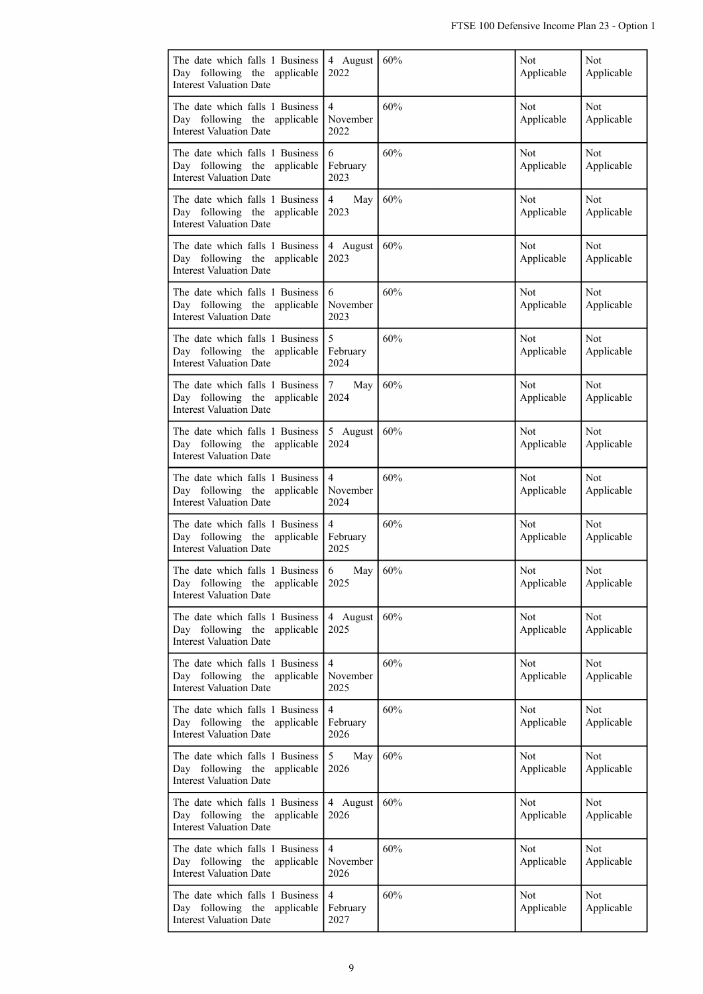| The date which falls 1 Business<br>Day following the applicable<br><b>Interest Valuation Date</b> | 4 August<br>2022                   | 60% | Not<br>Applicable        | Not<br>Applicable        |
|---------------------------------------------------------------------------------------------------|------------------------------------|-----|--------------------------|--------------------------|
| The date which falls 1 Business<br>Day following the applicable<br><b>Interest Valuation Date</b> | $\overline{4}$<br>November<br>2022 | 60% | <b>Not</b><br>Applicable | Not<br>Applicable        |
| The date which falls 1 Business<br>Day following the applicable<br><b>Interest Valuation Date</b> | 6<br>February<br>2023              | 60% | Not<br>Applicable        | Not<br>Applicable        |
| The date which falls 1 Business<br>Day following the applicable<br><b>Interest Valuation Date</b> | $\overline{4}$<br>May<br>2023      | 60% | <b>Not</b><br>Applicable | Not<br>Applicable        |
| The date which falls 1 Business<br>Day following the applicable<br><b>Interest Valuation Date</b> | 4 August<br>2023                   | 60% | Not<br>Applicable        | Not<br>Applicable        |
| The date which falls 1 Business<br>Day following the applicable<br><b>Interest Valuation Date</b> | 6<br>November<br>2023              | 60% | Not<br>Applicable        | Not<br>Applicable        |
| The date which falls 1 Business<br>Day following the applicable<br><b>Interest Valuation Date</b> | 5<br>February<br>2024              | 60% | <b>Not</b><br>Applicable | Not<br>Applicable        |
| The date which falls 1 Business<br>Day following the applicable<br><b>Interest Valuation Date</b> | 7<br>May<br>2024                   | 60% | <b>Not</b><br>Applicable | Not<br>Applicable        |
| The date which falls 1 Business<br>Day following the applicable<br><b>Interest Valuation Date</b> | 5 August<br>2024                   | 60% | <b>Not</b><br>Applicable | Not<br>Applicable        |
| The date which falls 1 Business<br>Day following the applicable<br><b>Interest Valuation Date</b> | $\overline{4}$<br>November<br>2024 | 60% | Not<br>Applicable        | Not<br>Applicable        |
| The date which falls 1 Business<br>Day following the applicable<br><b>Interest Valuation Date</b> | $\overline{4}$<br>February<br>2025 | 60% | Not<br>Applicable        | Not<br>Applicable        |
| The date which falls 1 Business<br>Day following the applicable<br><b>Interest Valuation Date</b> | 6<br>May<br>2025                   | 60% | Not<br>Applicable        | Not<br>Applicable        |
| The date which falls 1 Business<br>Day following the applicable<br><b>Interest Valuation Date</b> | 4 August<br>2025                   | 60% | <b>Not</b><br>Applicable | Not<br>Applicable        |
| The date which falls 1 Business<br>Day following the applicable<br><b>Interest Valuation Date</b> | $\overline{4}$<br>November<br>2025 | 60% | Not<br>Applicable        | Not<br>Applicable        |
| The date which falls 1 Business<br>Day following the applicable<br><b>Interest Valuation Date</b> | $\overline{4}$<br>February<br>2026 | 60% | Not<br>Applicable        | Not<br>Applicable        |
| The date which falls 1 Business<br>Day following the applicable<br><b>Interest Valuation Date</b> | 5<br>May<br>2026                   | 60% | Not<br>Applicable        | Not<br>Applicable        |
| The date which falls 1 Business<br>Day following the applicable<br><b>Interest Valuation Date</b> | 4 August<br>2026                   | 60% | Not<br>Applicable        | <b>Not</b><br>Applicable |
| The date which falls 1 Business<br>Day following the applicable<br><b>Interest Valuation Date</b> | $\overline{4}$<br>November<br>2026 | 60% | Not<br>Applicable        | Not<br>Applicable        |
| The date which falls 1 Business<br>Day following the applicable<br><b>Interest Valuation Date</b> | $\overline{4}$<br>February<br>2027 | 60% | Not<br>Applicable        | Not<br>Applicable        |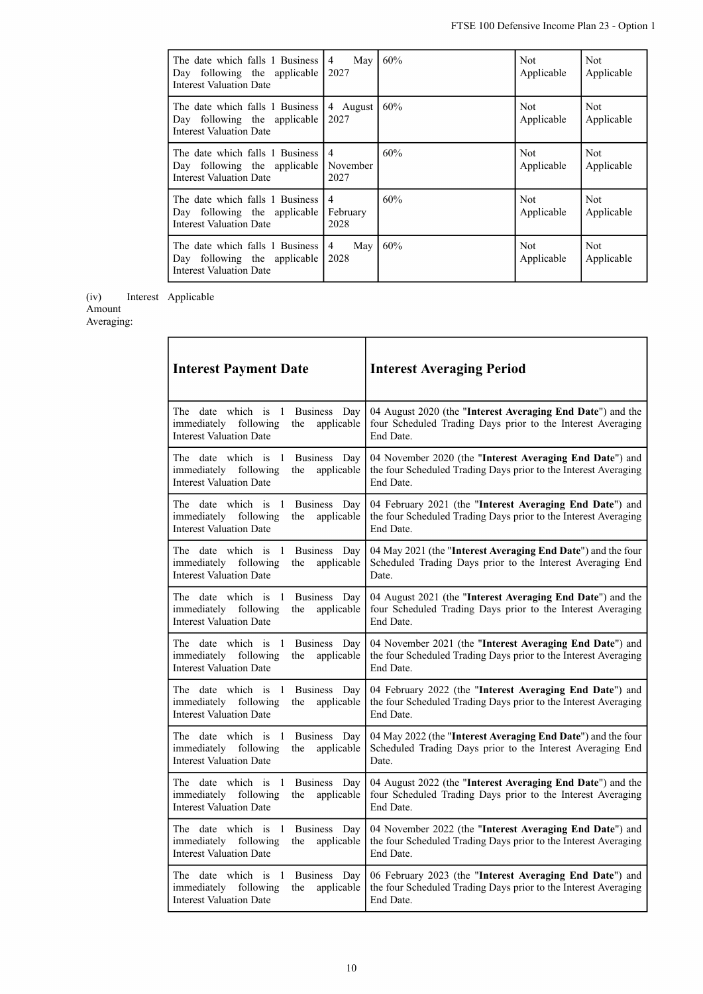| The date which falls 1 Business<br>Day following the applicable<br><b>Interest Valuation Date</b> | $\overline{4}$<br>May<br>2027      | 60% | Not:<br>Applicable | Not.<br>Applicable       |
|---------------------------------------------------------------------------------------------------|------------------------------------|-----|--------------------|--------------------------|
| The date which falls 1 Business<br>Day following the applicable<br><b>Interest Valuation Date</b> | 4 August<br>2027                   | 60% | Not:<br>Applicable | Not<br>Applicable        |
| The date which falls 1 Business<br>Day following the applicable<br><b>Interest Valuation Date</b> | $\overline{4}$<br>November<br>2027 | 60% | Not:<br>Applicable | <b>Not</b><br>Applicable |
| The date which falls 1 Business<br>Day following the applicable<br><b>Interest Valuation Date</b> | $\overline{4}$<br>February<br>2028 | 60% | Not.<br>Applicable | Not<br>Applicable        |
| The date which falls 1 Business<br>Day following the applicable<br><b>Interest Valuation Date</b> | 4<br>May<br>2028                   | 60% | Not:<br>Applicable | Not.<br>Applicable       |

(iv) Interest Interest Applicable

Amount

Averaging:

| <b>Interest Payment Date</b>                                                                                           | <b>Interest Averaging Period</b>                                                                                                         |
|------------------------------------------------------------------------------------------------------------------------|------------------------------------------------------------------------------------------------------------------------------------------|
| The date which is 1 Business Day<br>following<br>immediately<br>applicable<br>the<br><b>Interest Valuation Date</b>    | 04 August 2020 (the "Interest Averaging End Date") and the<br>four Scheduled Trading Days prior to the Interest Averaging<br>End Date.   |
| The date which is 1<br>Business Day<br>immediately<br>following<br>applicable<br>the<br><b>Interest Valuation Date</b> | 04 November 2020 (the "Interest Averaging End Date") and<br>the four Scheduled Trading Days prior to the Interest Averaging<br>End Date. |
| The date which is 1<br>Business Day<br>immediately<br>following<br>applicable<br>the<br><b>Interest Valuation Date</b> | 04 February 2021 (the "Interest Averaging End Date") and<br>the four Scheduled Trading Days prior to the Interest Averaging<br>End Date. |
| The date which is 1<br>Business Day<br>immediately<br>following<br>applicable<br>the<br><b>Interest Valuation Date</b> | 04 May 2021 (the "Interest Averaging End Date") and the four<br>Scheduled Trading Days prior to the Interest Averaging End<br>Date.      |
| The date which is 1<br>Business Day<br>immediately<br>following<br>applicable<br>the<br><b>Interest Valuation Date</b> | 04 August 2021 (the "Interest Averaging End Date") and the<br>four Scheduled Trading Days prior to the Interest Averaging<br>End Date.   |
| The date which is 1<br>Business Day<br>immediately<br>following<br>the<br>applicable<br><b>Interest Valuation Date</b> | 04 November 2021 (the "Interest Averaging End Date") and<br>the four Scheduled Trading Days prior to the Interest Averaging<br>End Date. |
| The date which is 1<br>Business Day<br>immediately<br>following<br>applicable<br>the<br><b>Interest Valuation Date</b> | 04 February 2022 (the "Interest Averaging End Date") and<br>the four Scheduled Trading Days prior to the Interest Averaging<br>End Date. |
| The date which is 1<br>Business Day<br>immediately<br>following<br>applicable<br>the<br><b>Interest Valuation Date</b> | 04 May 2022 (the "Interest Averaging End Date") and the four<br>Scheduled Trading Days prior to the Interest Averaging End<br>Date.      |
| The date which is 1<br>Business Day<br>following<br>immediately<br>the<br>applicable<br><b>Interest Valuation Date</b> | 04 August 2022 (the "Interest Averaging End Date") and the<br>four Scheduled Trading Days prior to the Interest Averaging<br>End Date.   |
| The date which is 1<br>Business Day<br>immediately<br>following<br>applicable<br>the<br><b>Interest Valuation Date</b> | 04 November 2022 (the "Interest Averaging End Date") and<br>the four Scheduled Trading Days prior to the Interest Averaging<br>End Date. |
| The date which is 1<br>Business Day<br>immediately<br>following<br>applicable<br>the<br><b>Interest Valuation Date</b> | 06 February 2023 (the "Interest Averaging End Date") and<br>the four Scheduled Trading Days prior to the Interest Averaging<br>End Date. |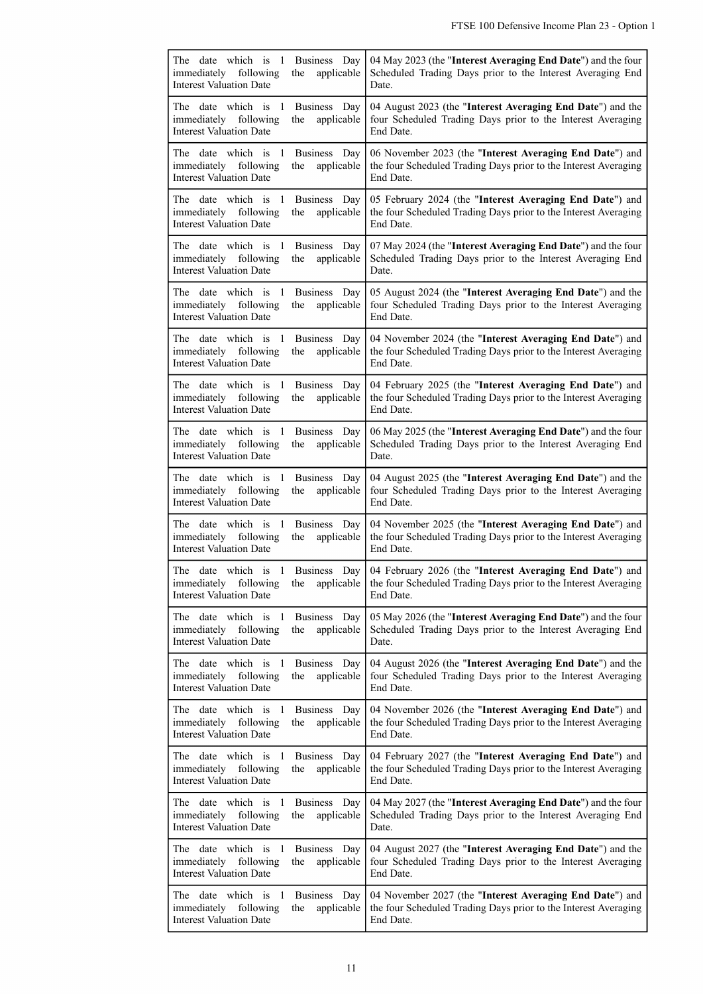| The date which is 1<br>Business Day<br>immediately<br>following<br>the<br>applicable<br><b>Interest Valuation Date</b>                 | 04 May 2023 (the "Interest Averaging End Date") and the four<br>Scheduled Trading Days prior to the Interest Averaging End<br>Date.                                           |
|----------------------------------------------------------------------------------------------------------------------------------------|-------------------------------------------------------------------------------------------------------------------------------------------------------------------------------|
| The date which is 1<br>Business Day<br>applicable<br>immediately<br>following<br>the<br><b>Interest Valuation Date</b>                 | 04 August 2023 (the "Interest Averaging End Date") and the<br>four Scheduled Trading Days prior to the Interest Averaging<br>End Date.                                        |
| The date which is<br>1<br>Business Day<br>applicable<br>immediately following<br>the<br><b>Interest Valuation Date</b>                 | 06 November 2023 (the "Interest Averaging End Date") and<br>the four Scheduled Trading Days prior to the Interest Averaging<br>End Date.                                      |
| The date which is<br>-1<br>Business Day<br>immediately<br>following<br>the<br>applicable<br><b>Interest Valuation Date</b>             | 05 February 2024 (the "Interest Averaging End Date") and<br>the four Scheduled Trading Days prior to the Interest Averaging<br>End Date.                                      |
| The date which is<br>Business Day<br>- 1<br>following<br>applicable<br>immediately<br>the<br><b>Interest Valuation Date</b>            | 07 May 2024 (the "Interest Averaging End Date") and the four<br>Scheduled Trading Days prior to the Interest Averaging End<br>Date.                                           |
| The date which is<br>- 1<br>Business Day<br>immediately following<br>applicable<br>the<br><b>Interest Valuation Date</b>               | 05 August 2024 (the "Interest Averaging End Date") and the<br>four Scheduled Trading Days prior to the Interest Averaging<br>End Date.                                        |
| The date which is<br>- 1<br>Business Day<br>immediately following<br>the<br>applicable<br><b>Interest Valuation Date</b>               | 04 November 2024 (the "Interest Averaging End Date") and<br>the four Scheduled Trading Days prior to the Interest Averaging<br>End Date.                                      |
| The date which is<br>Business Day<br>-1<br>immediately<br>following<br>the<br>applicable<br><b>Interest Valuation Date</b>             | 04 February 2025 (the "Interest Averaging End Date") and<br>the four Scheduled Trading Days prior to the Interest Averaging<br>End Date.                                      |
| The date which is 1<br>Business Day<br>following<br>applicable<br>immediately<br>the<br><b>Interest Valuation Date</b>                 | 06 May 2025 (the "Interest Averaging End Date") and the four<br>Scheduled Trading Days prior to the Interest Averaging End<br>Date.                                           |
| The date which is<br>1<br>Business Day<br>immediately following<br>the<br>applicable<br><b>Interest Valuation Date</b>                 | 04 August 2025 (the "Interest Averaging End Date") and the<br>four Scheduled Trading Days prior to the Interest Averaging<br>End Date.                                        |
| The date which is 1<br>Business Day<br>immediately<br>following<br>the<br>applicable<br><b>Interest Valuation Date</b>                 | 04 November 2025 (the "Interest Averaging End Date") and<br>the four Scheduled Trading Days prior to the Interest Averaging<br>End Date.                                      |
| The date which is 1 Business Day<br><b>Interest Valuation Date</b>                                                                     | 04 February 2026 (the "Interest Averaging End Date") and<br>immediately following the applicable the four Scheduled Trading Days prior to the Interest Averaging<br>End Date. |
| The date which is 1<br>Business Day<br>immediately<br>following<br>applicable<br>the<br><b>Interest Valuation Date</b>                 | 05 May 2026 (the "Interest Averaging End Date") and the four<br>Scheduled Trading Days prior to the Interest Averaging End<br>Date.                                           |
| The date which is<br>$\overline{1}$<br>Business Day<br>immediately<br>following<br>applicable<br>the<br><b>Interest Valuation Date</b> | 04 August 2026 (the "Interest Averaging End Date") and the<br>four Scheduled Trading Days prior to the Interest Averaging<br>End Date.                                        |
| The date which is<br>Business Day<br>- 1<br>applicable<br>immediately following<br>the<br><b>Interest Valuation Date</b>               | 04 November 2026 (the "Interest Averaging End Date") and<br>the four Scheduled Trading Days prior to the Interest Averaging<br>End Date.                                      |
| The date which is 1<br>Business Day<br>immediately following<br>applicable<br>the<br><b>Interest Valuation Date</b>                    | 04 February 2027 (the "Interest Averaging End Date") and<br>the four Scheduled Trading Days prior to the Interest Averaging<br>End Date.                                      |
| The date which is<br>- 1<br>Business Day<br>immediately<br>following<br>applicable<br>the<br><b>Interest Valuation Date</b>            | 04 May 2027 (the "Interest Averaging End Date") and the four<br>Scheduled Trading Days prior to the Interest Averaging End<br>Date.                                           |
| The date which is 1<br>Business Day<br>immediately<br>following<br>applicable<br>the<br><b>Interest Valuation Date</b>                 | 04 August 2027 (the "Interest Averaging End Date") and the<br>four Scheduled Trading Days prior to the Interest Averaging<br>End Date.                                        |
| The date which is<br>Business Day<br>-1<br>immediately following<br>applicable<br>the<br><b>Interest Valuation Date</b>                | 04 November 2027 (the "Interest Averaging End Date") and<br>the four Scheduled Trading Days prior to the Interest Averaging<br>End Date.                                      |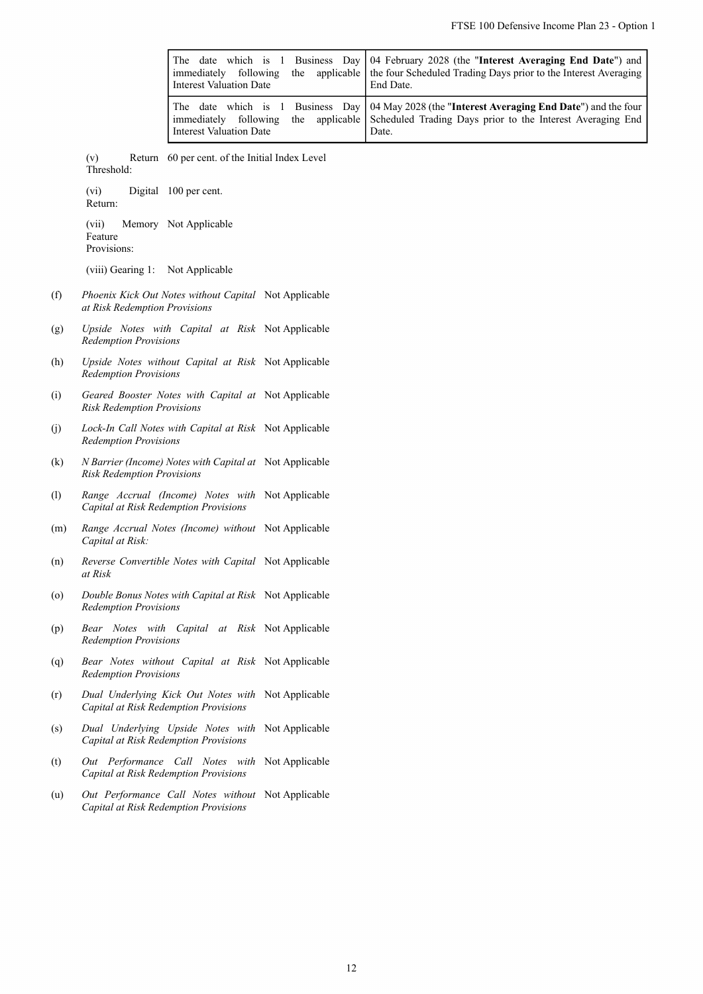|                    | immediately following<br><b>Interest Valuation Date</b>                                      | The date which is 1 Business Day<br>applicable<br>the | 04 February 2028 (the "Interest Averaging End Date") and<br>the four Scheduled Trading Days prior to the Interest Averaging<br>End Date. |
|--------------------|----------------------------------------------------------------------------------------------|-------------------------------------------------------|------------------------------------------------------------------------------------------------------------------------------------------|
|                    | immediately following<br><b>Interest Valuation Date</b>                                      | The date which is 1 Business Day<br>the applicable    | 04 May 2028 (the "Interest Averaging End Date") and the four<br>Scheduled Trading Days prior to the Interest Averaging End<br>Date.      |
|                    | Return 60 per cent. of the Initial Index Level<br>(v)<br>Threshold:                          |                                                       |                                                                                                                                          |
|                    | Digital 100 per cent.<br>(vi)<br>Return:                                                     |                                                       |                                                                                                                                          |
|                    | (vii)<br>Memory Not Applicable<br>Feature<br>Provisions:                                     |                                                       |                                                                                                                                          |
|                    | (viii) Gearing 1: Not Applicable                                                             |                                                       |                                                                                                                                          |
| (f)                | Phoenix Kick Out Notes without Capital Not Applicable<br>at Risk Redemption Provisions       |                                                       |                                                                                                                                          |
| (g)                | Upside Notes with Capital at Risk Not Applicable<br><b>Redemption Provisions</b>             |                                                       |                                                                                                                                          |
| (h)                | Upside Notes without Capital at Risk Not Applicable<br><b>Redemption Provisions</b>          |                                                       |                                                                                                                                          |
| (i)                | Geared Booster Notes with Capital at Not Applicable<br><b>Risk Redemption Provisions</b>     |                                                       |                                                                                                                                          |
| (j)                | Lock-In Call Notes with Capital at Risk Not Applicable<br><b>Redemption Provisions</b>       |                                                       |                                                                                                                                          |
| (k)                | N Barrier (Income) Notes with Capital at Not Applicable<br><b>Risk Redemption Provisions</b> |                                                       |                                                                                                                                          |
| (1)                | Range Accrual (Income) Notes with Not Applicable<br>Capital at Risk Redemption Provisions    |                                                       |                                                                                                                                          |
| (m)                | Range Accrual Notes (Income) without Not Applicable<br>Capital at Risk:                      |                                                       |                                                                                                                                          |
| (n)                | Reverse Convertible Notes with Capital Not Applicable<br>at Risk                             |                                                       |                                                                                                                                          |
| $\left( 0 \right)$ | Double Bonus Notes with Capital at Risk Not Applicable<br><b>Redemption Provisions</b>       |                                                       |                                                                                                                                          |
| (p)                | Bear Notes with Capital at Risk Not Applicable<br><b>Redemption Provisions</b>               |                                                       |                                                                                                                                          |
| (q)                | Bear Notes without Capital at Risk Not Applicable<br><b>Redemption Provisions</b>            |                                                       |                                                                                                                                          |
| (r)                | Dual Underlying Kick Out Notes with Not Applicable<br>Capital at Risk Redemption Provisions  |                                                       |                                                                                                                                          |
| (s)                | Dual Underlying Upside Notes with Not Applicable<br>Capital at Risk Redemption Provisions    |                                                       |                                                                                                                                          |
| (t)                | Out Performance Call Notes with Not-Applicable<br>Capital at Risk Redemption Provisions      |                                                       |                                                                                                                                          |
| (u)                | Out Performance Call Notes without Not Applicable<br>Capital at Risk Redemption Provisions   |                                                       |                                                                                                                                          |
|                    |                                                                                              |                                                       |                                                                                                                                          |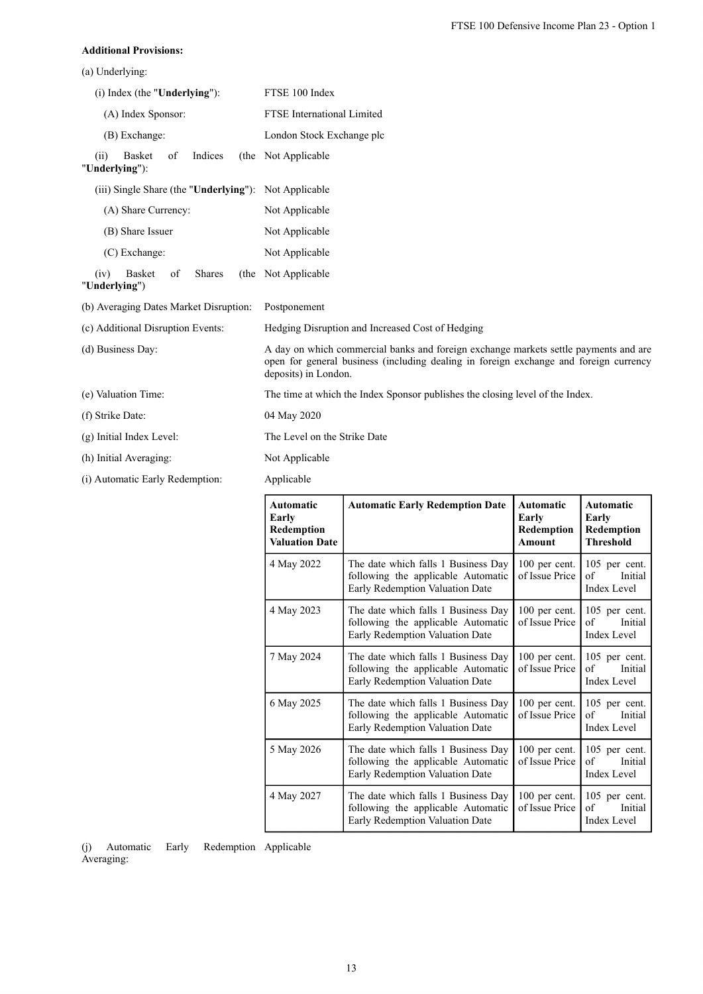### **Additional Provisions:**

(a) Underlying:

| $(i)$ Index (the "Underlying"):                          |               |  | FTSE 100 Index                                                                                                                                                                                        |                                                                                                              |                                                   |                                                      |  |  |  |
|----------------------------------------------------------|---------------|--|-------------------------------------------------------------------------------------------------------------------------------------------------------------------------------------------------------|--------------------------------------------------------------------------------------------------------------|---------------------------------------------------|------------------------------------------------------|--|--|--|
| (A) Index Sponsor:                                       |               |  | <b>FTSE</b> International Limited                                                                                                                                                                     |                                                                                                              |                                                   |                                                      |  |  |  |
| (B) Exchange:                                            |               |  | London Stock Exchange plc                                                                                                                                                                             |                                                                                                              |                                                   |                                                      |  |  |  |
| <b>Basket</b><br>of<br>Indices<br>(ii)<br>"Underlying"): |               |  | (the Not Applicable                                                                                                                                                                                   |                                                                                                              |                                                   |                                                      |  |  |  |
| (iii) Single Share (the "Underlying"): Not Applicable    |               |  |                                                                                                                                                                                                       |                                                                                                              |                                                   |                                                      |  |  |  |
| (A) Share Currency:                                      |               |  | Not Applicable                                                                                                                                                                                        |                                                                                                              |                                                   |                                                      |  |  |  |
| (B) Share Issuer                                         |               |  | Not Applicable                                                                                                                                                                                        |                                                                                                              |                                                   |                                                      |  |  |  |
| (C) Exchange:                                            |               |  | Not Applicable                                                                                                                                                                                        |                                                                                                              |                                                   |                                                      |  |  |  |
| (iv)<br><b>Basket</b><br>of<br>"Underlying")             | <b>Shares</b> |  | (the Not Applicable                                                                                                                                                                                   |                                                                                                              |                                                   |                                                      |  |  |  |
| (b) Averaging Dates Market Disruption:                   |               |  | Postponement                                                                                                                                                                                          |                                                                                                              |                                                   |                                                      |  |  |  |
| (c) Additional Disruption Events:                        |               |  | Hedging Disruption and Increased Cost of Hedging                                                                                                                                                      |                                                                                                              |                                                   |                                                      |  |  |  |
| (d) Business Day:                                        |               |  | A day on which commercial banks and foreign exchange markets settle payments and are<br>open for general business (including dealing in foreign exchange and foreign currency<br>deposits) in London. |                                                                                                              |                                                   |                                                      |  |  |  |
| (e) Valuation Time:                                      |               |  | The time at which the Index Sponsor publishes the closing level of the Index.                                                                                                                         |                                                                                                              |                                                   |                                                      |  |  |  |
| (f) Strike Date:                                         |               |  | 04 May 2020                                                                                                                                                                                           |                                                                                                              |                                                   |                                                      |  |  |  |
| (g) Initial Index Level:                                 |               |  | The Level on the Strike Date                                                                                                                                                                          |                                                                                                              |                                                   |                                                      |  |  |  |
| (h) Initial Averaging:                                   |               |  | Not Applicable                                                                                                                                                                                        |                                                                                                              |                                                   |                                                      |  |  |  |
| (i) Automatic Early Redemption:                          |               |  | Applicable                                                                                                                                                                                            |                                                                                                              |                                                   |                                                      |  |  |  |
|                                                          |               |  | Automatic<br>Early<br>Redemption<br><b>Valuation Date</b>                                                                                                                                             | <b>Automatic Early Redemption Date</b>                                                                       | <b>Automatic</b><br>Early<br>Redemption<br>Amount | Automatic<br>Early<br>Redemption<br><b>Threshold</b> |  |  |  |
|                                                          |               |  | 4 May 2022                                                                                                                                                                                            | The date which falls 1 Business Day<br>following the applicable Automatic<br>Early Redemption Valuation Date | 100 per cent.<br>of Issue Price                   | 105 per cent.<br>of<br>Initial<br>Index Level        |  |  |  |
|                                                          |               |  | 4 May 2023                                                                                                                                                                                            | The date which falls 1 Business Day                                                                          | 100 per cent.                                     | 105 per cent.                                        |  |  |  |

following the applicable Automatic Early Redemption Valuation Date

following the applicable Automatic Early Redemption Valuation Date

following the applicable Automatic Early Redemption Valuation Date

following the applicable Automatic Early Redemption Valuation Date

following the applicable Automatic Early Redemption Valuation Date

7 May 2024 The date which falls 1 Business Day

6 May 2025 The date which falls 1 Business Day

5 May 2026 The date which falls 1 Business Day

4 May 2027 The date which falls 1 Business Day

of Issue Price

100 per cent. of Issue Price

100 per cent. of Issue Price

100 per cent. of Issue Price

100 per cent. of Issue Price of Initial Index Level

105 per cent. of Initial Index Level

105 per cent. of Initial Index Level

105 per cent. of Initial Index Level

105 per cent. of Initial Index Level

 $(i)$  Automatic Early Averaging: Redemption Applicable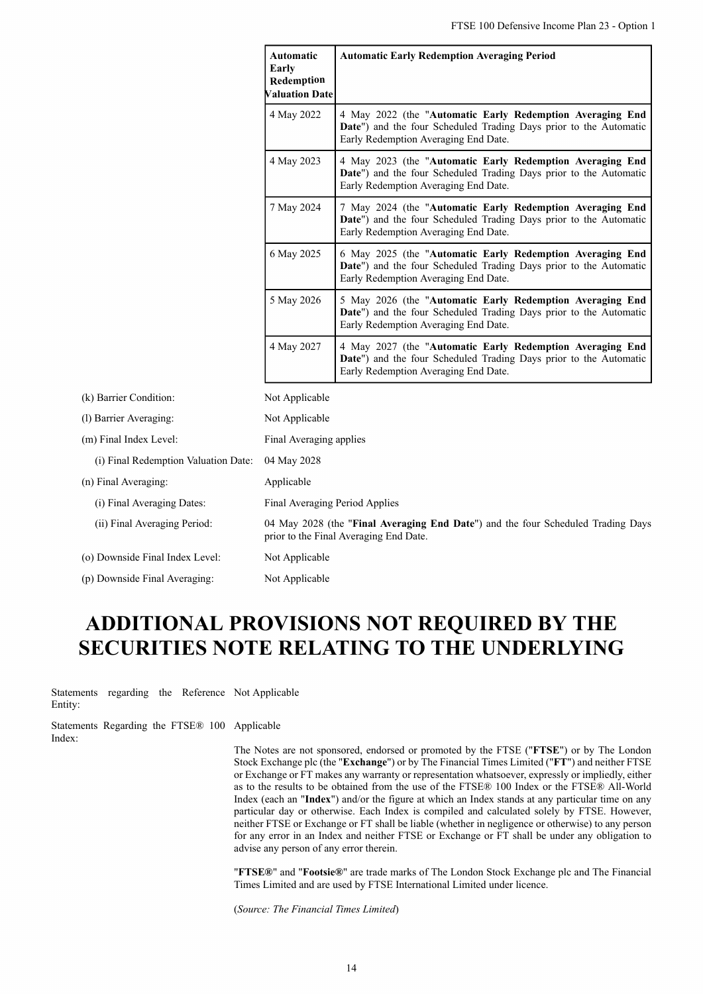**Automatic Early Redemption Averaging Period**

|                                      | Redemption<br><b>Valuation Date</b> |                                                                                                                                                                        |
|--------------------------------------|-------------------------------------|------------------------------------------------------------------------------------------------------------------------------------------------------------------------|
|                                      | 4 May 2022                          | 4 May 2022 (the "Automatic Early Redemption Averaging End<br>Date") and the four Scheduled Trading Days prior to the Automatic<br>Early Redemption Averaging End Date. |
|                                      | 4 May 2023                          | 4 May 2023 (the "Automatic Early Redemption Averaging End<br>Date") and the four Scheduled Trading Days prior to the Automatic<br>Early Redemption Averaging End Date. |
|                                      | 7 May 2024                          | 7 May 2024 (the "Automatic Early Redemption Averaging End<br>Date") and the four Scheduled Trading Days prior to the Automatic<br>Early Redemption Averaging End Date. |
|                                      | 6 May 2025                          | 6 May 2025 (the "Automatic Early Redemption Averaging End<br>Date") and the four Scheduled Trading Days prior to the Automatic<br>Early Redemption Averaging End Date. |
|                                      | 5 May 2026                          | 5 May 2026 (the "Automatic Early Redemption Averaging End<br>Date") and the four Scheduled Trading Days prior to the Automatic<br>Early Redemption Averaging End Date. |
|                                      | 4 May 2027                          | 4 May 2027 (the "Automatic Early Redemption Averaging End<br>Date") and the four Scheduled Trading Days prior to the Automatic<br>Early Redemption Averaging End Date. |
| (k) Barrier Condition:               | Not Applicable                      |                                                                                                                                                                        |
| (l) Barrier Averaging:               | Not Applicable                      |                                                                                                                                                                        |
| (m) Final Index Level:               | Final Averaging applies             |                                                                                                                                                                        |
| (i) Final Redemption Valuation Date: | 04 May 2028                         |                                                                                                                                                                        |
| (n) Final Averaging:                 | Applicable                          |                                                                                                                                                                        |
| (i) Final Averaging Dates:           | Final Averaging Period Applies      |                                                                                                                                                                        |
| (ii) Final Averaging Period:         |                                     | 04 May 2028 (the "Final Averaging End Date") and the four Scheduled Trading Days<br>prior to the Final Averaging End Date.                                             |
| (o) Downside Final Index Level:      | Not Applicable                      |                                                                                                                                                                        |
| (p) Downside Final Averaging:        | Not Applicable                      |                                                                                                                                                                        |
|                                      |                                     |                                                                                                                                                                        |

**Automatic Early**

# **ADDITIONAL PROVISIONS NOT REQUIRED BY THE SECURITIES NOTE RELATING TO THE UNDERLYING**

Statements regarding the Reference Not Applicable Entity:

Statements Regarding the FTSE® 100 Applicable Index:

> The Notes are not sponsored, endorsed or promoted by the FTSE ("**FTSE**") or by The London Stock Exchange plc (the "**Exchange**") or by The Financial Times Limited ("**FT**") and neither FTSE or Exchange or FT makes any warranty or representation whatsoever, expressly or impliedly, either as to the results to be obtained from the use of the FTSE® 100 Index or the FTSE® All-World Index (each an "**Index**") and/or the figure at which an Index stands at any particular time on any particular day or otherwise. Each Index is compiled and calculated solely by FTSE. However, neither FTSE or Exchange or FT shall be liable (whether in negligence or otherwise) to any person for any error in an Index and neither FTSE or Exchange or FT shall be under any obligation to advise any person of any error therein.

> "**FTSE®**" and "**Footsie®**" are trade marks of The London Stock Exchange plc and The Financial Times Limited and are used by FTSE International Limited under licence.

(*Source: The Financial Times Limited*)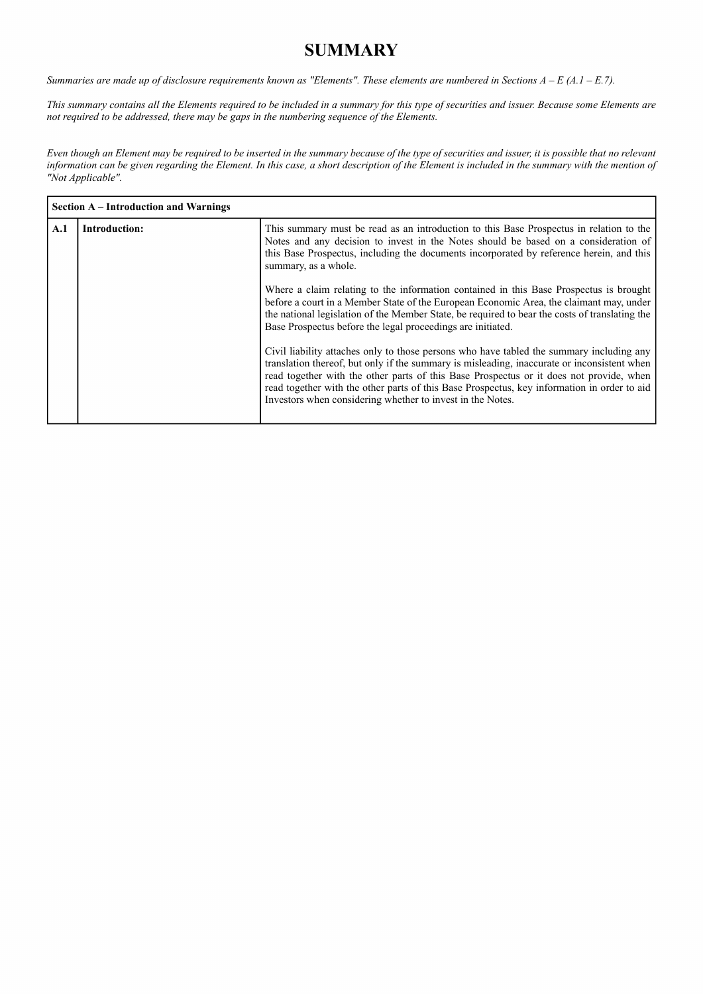# **SUMMARY**

*Summaries are made up of disclosure requirements known as "Elements". These elements are numbered in Sections A – E (A.1 – E.7).*

*This summary contains all the Elements required to be included in a summary for this type of securities and issuer. Because some Elements are not required to be addressed, there may be gaps in the numbering sequence of the Elements.*

*Even though an Element may be required to be inserted in the summary because of the type of securities and issuer, it is possible that no relevant information can be given regarding the Element. In this case, a short description of the Element is included in the summary with the mention of "Not Applicable".*

|     | <b>Section A</b> – Introduction and Warnings |                                                                                                                                                                                                                                                                                                                                                                                                                                                 |
|-----|----------------------------------------------|-------------------------------------------------------------------------------------------------------------------------------------------------------------------------------------------------------------------------------------------------------------------------------------------------------------------------------------------------------------------------------------------------------------------------------------------------|
| A.1 | <b>Introduction:</b>                         | This summary must be read as an introduction to this Base Prospectus in relation to the<br>Notes and any decision to invest in the Notes should be based on a consideration of<br>this Base Prospectus, including the documents incorporated by reference herein, and this<br>summary, as a whole.                                                                                                                                              |
|     |                                              | Where a claim relating to the information contained in this Base Prospectus is brought<br>before a court in a Member State of the European Economic Area, the claimant may, under<br>the national legislation of the Member State, be required to bear the costs of translating the<br>Base Prospectus before the legal proceedings are initiated.                                                                                              |
|     |                                              | Civil liability attaches only to those persons who have tabled the summary including any<br>translation thereof, but only if the summary is misleading, inaccurate or inconsistent when<br>read together with the other parts of this Base Prospectus or it does not provide, when<br>read together with the other parts of this Base Prospectus, key information in order to aid<br>Investors when considering whether to invest in the Notes. |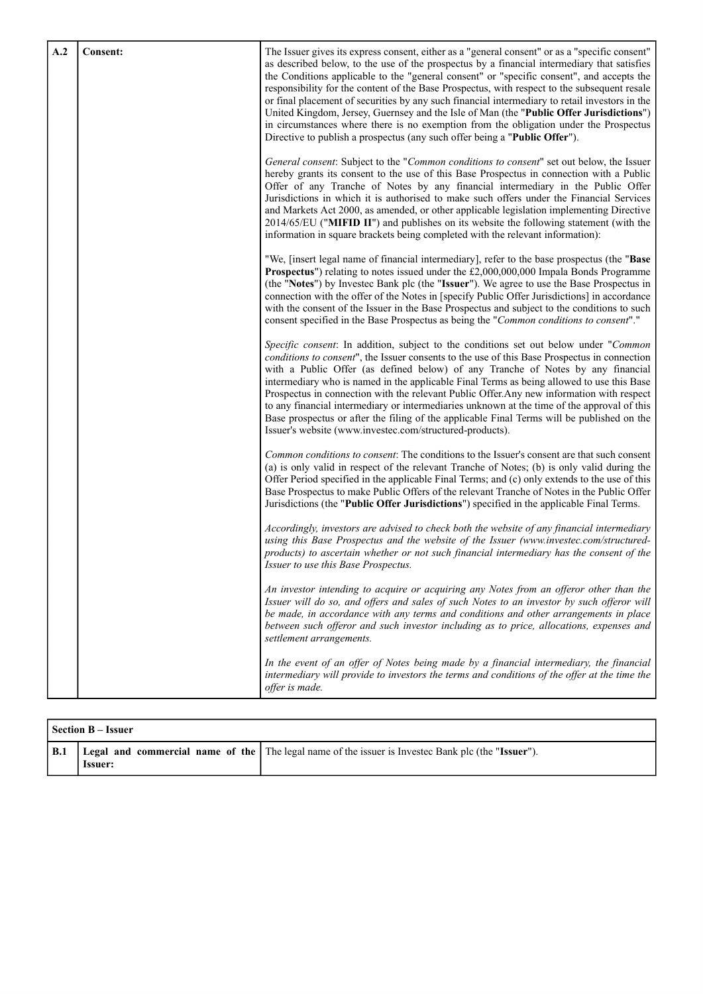| A.2 | Consent: | The Issuer gives its express consent, either as a "general consent" or as a "specific consent"<br>as described below, to the use of the prospectus by a financial intermediary that satisfies<br>the Conditions applicable to the "general consent" or "specific consent", and accepts the<br>responsibility for the content of the Base Prospectus, with respect to the subsequent resale<br>or final placement of securities by any such financial intermediary to retail investors in the<br>United Kingdom, Jersey, Guernsey and the Isle of Man (the "Public Offer Jurisdictions")<br>in circumstances where there is no exemption from the obligation under the Prospectus<br>Directive to publish a prospectus (any such offer being a "Public Offer"). |
|-----|----------|----------------------------------------------------------------------------------------------------------------------------------------------------------------------------------------------------------------------------------------------------------------------------------------------------------------------------------------------------------------------------------------------------------------------------------------------------------------------------------------------------------------------------------------------------------------------------------------------------------------------------------------------------------------------------------------------------------------------------------------------------------------|
|     |          | General consent: Subject to the "Common conditions to consent" set out below, the Issuer<br>hereby grants its consent to the use of this Base Prospectus in connection with a Public<br>Offer of any Tranche of Notes by any financial intermediary in the Public Offer<br>Jurisdictions in which it is authorised to make such offers under the Financial Services<br>and Markets Act 2000, as amended, or other applicable legislation implementing Directive<br>2014/65/EU ("MIFID II") and publishes on its website the following statement (with the<br>information in square brackets being completed with the relevant information):                                                                                                                    |
|     |          | "We, [insert legal name of financial intermediary], refer to the base prospectus (the "Base<br>Prospectus") relating to notes issued under the £2,000,000,000 Impala Bonds Programme<br>(the "Notes") by Investec Bank plc (the "Issuer"). We agree to use the Base Prospectus in<br>connection with the offer of the Notes in [specify Public Offer Jurisdictions] in accordance<br>with the consent of the Issuer in the Base Prospectus and subject to the conditions to such<br>consent specified in the Base Prospectus as being the "Common conditions to consent"."                                                                                                                                                                                     |
|     |          | Specific consent: In addition, subject to the conditions set out below under "Common"<br>conditions to consent", the Issuer consents to the use of this Base Prospectus in connection<br>with a Public Offer (as defined below) of any Tranche of Notes by any financial<br>intermediary who is named in the applicable Final Terms as being allowed to use this Base<br>Prospectus in connection with the relevant Public Offer. Any new information with respect<br>to any financial intermediary or intermediaries unknown at the time of the approval of this<br>Base prospectus or after the filing of the applicable Final Terms will be published on the<br>Issuer's website (www.investec.com/structured-products).                                    |
|     |          | Common conditions to consent: The conditions to the Issuer's consent are that such consent<br>(a) is only valid in respect of the relevant Tranche of Notes; (b) is only valid during the<br>Offer Period specified in the applicable Final Terms; and (c) only extends to the use of this<br>Base Prospectus to make Public Offers of the relevant Tranche of Notes in the Public Offer<br>Jurisdictions (the "Public Offer Jurisdictions") specified in the applicable Final Terms.                                                                                                                                                                                                                                                                          |
|     |          | Accordingly, investors are advised to check both the website of any financial intermediary<br>using this Base Prospectus and the website of the Issuer (www.investec.com/structured-<br>products) to ascertain whether or not such financial intermediary has the consent of the<br>Issuer to use this Base Prospectus.                                                                                                                                                                                                                                                                                                                                                                                                                                        |
|     |          | An investor intending to acquire or acquiring any Notes from an offeror other than the<br>Issuer will do so, and offers and sales of such Notes to an investor by such offeror will<br>be made, in accordance with any terms and conditions and other arrangements in place<br>between such offeror and such investor including as to price, allocations, expenses and<br>settlement arrangements.                                                                                                                                                                                                                                                                                                                                                             |
|     |          | In the event of an offer of Notes being made by a financial intermediary, the financial<br>intermediary will provide to investors the terms and conditions of the offer at the time the<br>offer is made.                                                                                                                                                                                                                                                                                                                                                                                                                                                                                                                                                      |

|     | l Section B – Issuer |                                                                                                    |
|-----|----------------------|----------------------------------------------------------------------------------------------------|
| B.1 | <b>Issuer:</b>       | Legal and commercial name of the The legal name of the issuer is Invested Bank plc (the "Issuer"). |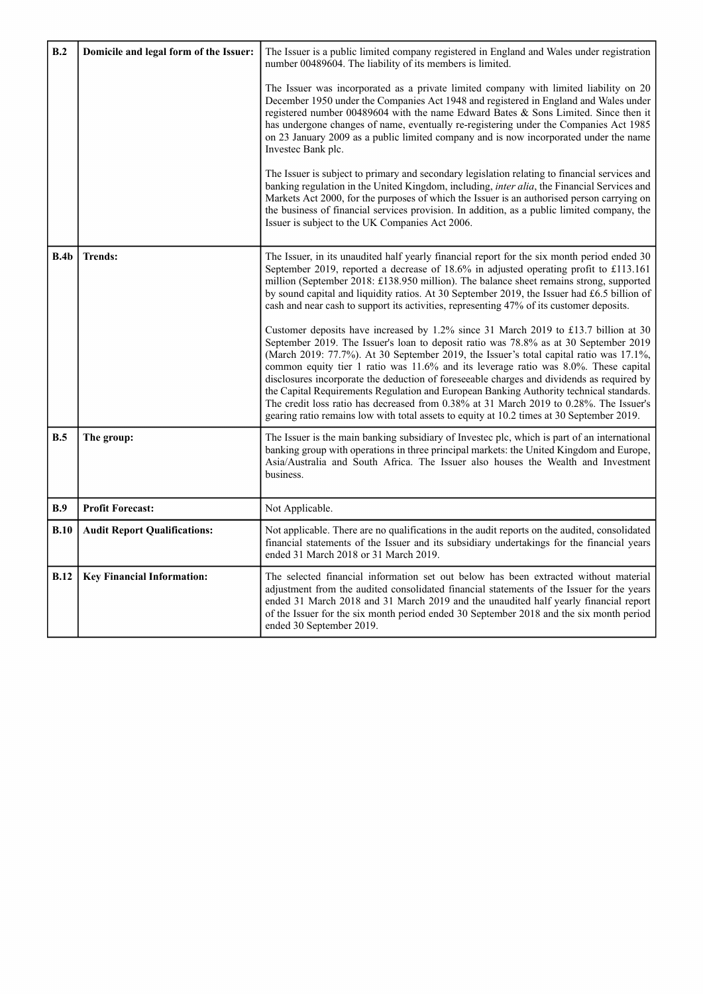| B.2  | Domicile and legal form of the Issuer: | The Issuer is a public limited company registered in England and Wales under registration<br>number 00489604. The liability of its members is limited.                                                                                                                                                                                                                                                                                                                                                                                                                                                                                                                                                                                      |
|------|----------------------------------------|---------------------------------------------------------------------------------------------------------------------------------------------------------------------------------------------------------------------------------------------------------------------------------------------------------------------------------------------------------------------------------------------------------------------------------------------------------------------------------------------------------------------------------------------------------------------------------------------------------------------------------------------------------------------------------------------------------------------------------------------|
|      |                                        | The Issuer was incorporated as a private limited company with limited liability on 20<br>December 1950 under the Companies Act 1948 and registered in England and Wales under<br>registered number 00489604 with the name Edward Bates & Sons Limited. Since then it<br>has undergone changes of name, eventually re-registering under the Companies Act 1985<br>on 23 January 2009 as a public limited company and is now incorporated under the name<br>Investec Bank plc.                                                                                                                                                                                                                                                                |
|      |                                        | The Issuer is subject to primary and secondary legislation relating to financial services and<br>banking regulation in the United Kingdom, including, <i>inter alia</i> , the Financial Services and<br>Markets Act 2000, for the purposes of which the Issuer is an authorised person carrying on<br>the business of financial services provision. In addition, as a public limited company, the<br>Issuer is subject to the UK Companies Act 2006.                                                                                                                                                                                                                                                                                        |
| B.4b | <b>Trends:</b>                         | The Issuer, in its unaudited half yearly financial report for the six month period ended 30<br>September 2019, reported a decrease of 18.6% in adjusted operating profit to £113.161<br>million (September 2018: £138.950 million). The balance sheet remains strong, supported<br>by sound capital and liquidity ratios. At 30 September 2019, the Issuer had £6.5 billion of<br>cash and near cash to support its activities, representing 47% of its customer deposits.                                                                                                                                                                                                                                                                  |
|      |                                        | Customer deposits have increased by 1.2% since 31 March 2019 to £13.7 billion at 30<br>September 2019. The Issuer's loan to deposit ratio was 78.8% as at 30 September 2019<br>(March 2019: 77.7%). At 30 September 2019, the Issuer's total capital ratio was 17.1%,<br>common equity tier 1 ratio was 11.6% and its leverage ratio was 8.0%. These capital<br>disclosures incorporate the deduction of foreseeable charges and dividends as required by<br>the Capital Requirements Regulation and European Banking Authority technical standards.<br>The credit loss ratio has decreased from 0.38% at 31 March 2019 to 0.28%. The Issuer's<br>gearing ratio remains low with total assets to equity at 10.2 times at 30 September 2019. |
| B.5  | The group:                             | The Issuer is the main banking subsidiary of Invested plc, which is part of an international<br>banking group with operations in three principal markets: the United Kingdom and Europe,<br>Asia/Australia and South Africa. The Issuer also houses the Wealth and Investment<br>business.                                                                                                                                                                                                                                                                                                                                                                                                                                                  |
| B.9  | <b>Profit Forecast:</b>                | Not Applicable.                                                                                                                                                                                                                                                                                                                                                                                                                                                                                                                                                                                                                                                                                                                             |
| B.10 | <b>Audit Report Qualifications:</b>    | Not applicable. There are no qualifications in the audit reports on the audited, consolidated<br>financial statements of the Issuer and its subsidiary undertakings for the financial years<br>ended 31 March 2018 or 31 March 2019.                                                                                                                                                                                                                                                                                                                                                                                                                                                                                                        |
| B.12 | <b>Key Financial Information:</b>      | The selected financial information set out below has been extracted without material<br>adjustment from the audited consolidated financial statements of the Issuer for the years<br>ended 31 March 2018 and 31 March 2019 and the unaudited half yearly financial report<br>of the Issuer for the six month period ended 30 September 2018 and the six month period<br>ended 30 September 2019.                                                                                                                                                                                                                                                                                                                                            |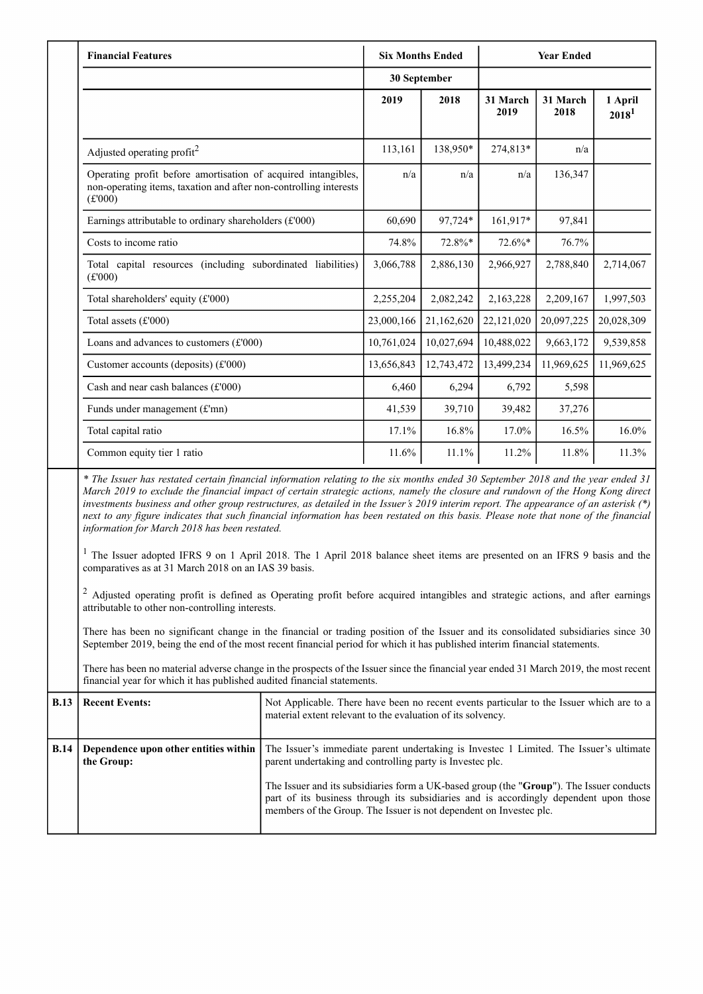| <b>Financial Features</b>                                                                                                                                                                                                                                                                                                                                                                                                                                                                                                                                                                                                                                                                                                                                                                                                                                                                                                                                                                                   |            | <b>Six Months Ended</b> |                  | <b>Year Ended</b> |                              |
|-------------------------------------------------------------------------------------------------------------------------------------------------------------------------------------------------------------------------------------------------------------------------------------------------------------------------------------------------------------------------------------------------------------------------------------------------------------------------------------------------------------------------------------------------------------------------------------------------------------------------------------------------------------------------------------------------------------------------------------------------------------------------------------------------------------------------------------------------------------------------------------------------------------------------------------------------------------------------------------------------------------|------------|-------------------------|------------------|-------------------|------------------------------|
|                                                                                                                                                                                                                                                                                                                                                                                                                                                                                                                                                                                                                                                                                                                                                                                                                                                                                                                                                                                                             |            | 30 September            |                  |                   |                              |
|                                                                                                                                                                                                                                                                                                                                                                                                                                                                                                                                                                                                                                                                                                                                                                                                                                                                                                                                                                                                             | 2019       | 2018                    | 31 March<br>2019 | 31 March<br>2018  | 1 April<br>2018 <sup>1</sup> |
| Adjusted operating profit <sup>2</sup>                                                                                                                                                                                                                                                                                                                                                                                                                                                                                                                                                                                                                                                                                                                                                                                                                                                                                                                                                                      | 113,161    | 138,950*                | 274,813*         | n/a               |                              |
| Operating profit before amortisation of acquired intangibles,<br>non-operating items, taxation and after non-controlling interests<br>(f'000)                                                                                                                                                                                                                                                                                                                                                                                                                                                                                                                                                                                                                                                                                                                                                                                                                                                               | n/a        | n/a                     | n/a              | 136,347           |                              |
| Earnings attributable to ordinary shareholders $(f000)$                                                                                                                                                                                                                                                                                                                                                                                                                                                                                                                                                                                                                                                                                                                                                                                                                                                                                                                                                     | 60,690     | 97,724*                 | 161,917*         | 97,841            |                              |
| Costs to income ratio                                                                                                                                                                                                                                                                                                                                                                                                                                                                                                                                                                                                                                                                                                                                                                                                                                                                                                                                                                                       | 74.8%      | 72.8%*                  | 72.6%*           | 76.7%             |                              |
| Total capital resources (including subordinated liabilities)<br>(f'000)                                                                                                                                                                                                                                                                                                                                                                                                                                                                                                                                                                                                                                                                                                                                                                                                                                                                                                                                     | 3,066,788  | 2,886,130               | 2,966,927        | 2,788,840         | 2,714,067                    |
| Total shareholders' equity (£'000)                                                                                                                                                                                                                                                                                                                                                                                                                                                                                                                                                                                                                                                                                                                                                                                                                                                                                                                                                                          | 2,255,204  | 2,082,242               | 2,163,228        | 2,209,167         | 1,997,503                    |
| Total assets (£'000)                                                                                                                                                                                                                                                                                                                                                                                                                                                                                                                                                                                                                                                                                                                                                                                                                                                                                                                                                                                        | 23,000,166 | 21,162,620              | 22,121,020       | 20,097,225        | 20,028,309                   |
| Loans and advances to customers $(f'000)$                                                                                                                                                                                                                                                                                                                                                                                                                                                                                                                                                                                                                                                                                                                                                                                                                                                                                                                                                                   | 10,761,024 | 10,027,694              | 10,488,022       | 9,663,172         | 9,539,858                    |
| Customer accounts (deposits) (£'000)                                                                                                                                                                                                                                                                                                                                                                                                                                                                                                                                                                                                                                                                                                                                                                                                                                                                                                                                                                        | 13,656,843 | 12,743,472              | 13,499,234       | 11,969,625        | 11,969,625                   |
| Cash and near cash balances $(E'000)$                                                                                                                                                                                                                                                                                                                                                                                                                                                                                                                                                                                                                                                                                                                                                                                                                                                                                                                                                                       | 6,460      | 6,294                   | 6,792            | 5,598             |                              |
| Funds under management (£'mn)                                                                                                                                                                                                                                                                                                                                                                                                                                                                                                                                                                                                                                                                                                                                                                                                                                                                                                                                                                               | 41,539     | 39,710                  | 39,482           | 37,276            |                              |
| Total capital ratio                                                                                                                                                                                                                                                                                                                                                                                                                                                                                                                                                                                                                                                                                                                                                                                                                                                                                                                                                                                         | 17.1%      | 16.8%                   | 17.0%            | 16.5%             | 16.0%                        |
| Common equity tier 1 ratio                                                                                                                                                                                                                                                                                                                                                                                                                                                                                                                                                                                                                                                                                                                                                                                                                                                                                                                                                                                  | 11.6%      | 11.1%                   | 11.2%            | 11.8%             | 11.3%                        |
| * The Issuer has restated certain financial information relating to the six months ended 30 September 2018 and the year ended 31<br>March 2019 to exclude the financial impact of certain strategic actions, namely the closure and rundown of the Hong Kong direct<br>investments business and other group restructures, as detailed in the Issuer's 2019 interim report. The appearance of an asterisk $(*)$<br>next to any figure indicates that such financial information has been restated on this basis. Please note that none of the financial<br>information for March 2018 has been restated.<br><sup>1</sup> The Issuer adopted IFRS 9 on 1 April 2018. The 1 April 2018 balance sheet items are presented on an IFRS 9 basis and the<br>comparatives as at 31 March 2018 on an IAS 39 basis.<br><sup>2</sup> Adjusted operating profit is defined as Operating profit before acquired intangibles and strategic actions, and after earnings<br>attributable to other non-controlling interests. |            |                         |                  |                   |                              |

There has been no significant change in the financial or trading position of the Issuer and its consolidated subsidiaries since 30 September 2019, being the end of the most recent financial period for which it has published interim financial statements.

There has been no material adverse change in the prospects of the Issuer since the financial year ended 31 March 2019, the most recent financial year for which it has published audited financial statements.

| <b>B.13</b> | <b>Recent Events:</b>                               | Not Applicable. There have been no recent events particular to the Issuer which are to a<br>material extent relevant to the evaluation of its solvency.                                                                                                                                                                                                                                                        |
|-------------|-----------------------------------------------------|----------------------------------------------------------------------------------------------------------------------------------------------------------------------------------------------------------------------------------------------------------------------------------------------------------------------------------------------------------------------------------------------------------------|
| <b>B.14</b> | Dependence upon other entities within<br>the Group: | The Issuer's immediate parent undertaking is Invested 1 Limited. The Issuer's ultimate<br>parent undertaking and controlling party is Invested plc.<br>The Issuer and its subsidiaries form a UK-based group (the "Group"). The Issuer conducts<br>part of its business through its subsidiaries and is accordingly dependent upon those<br>members of the Group. The Issuer is not dependent on Investee plc. |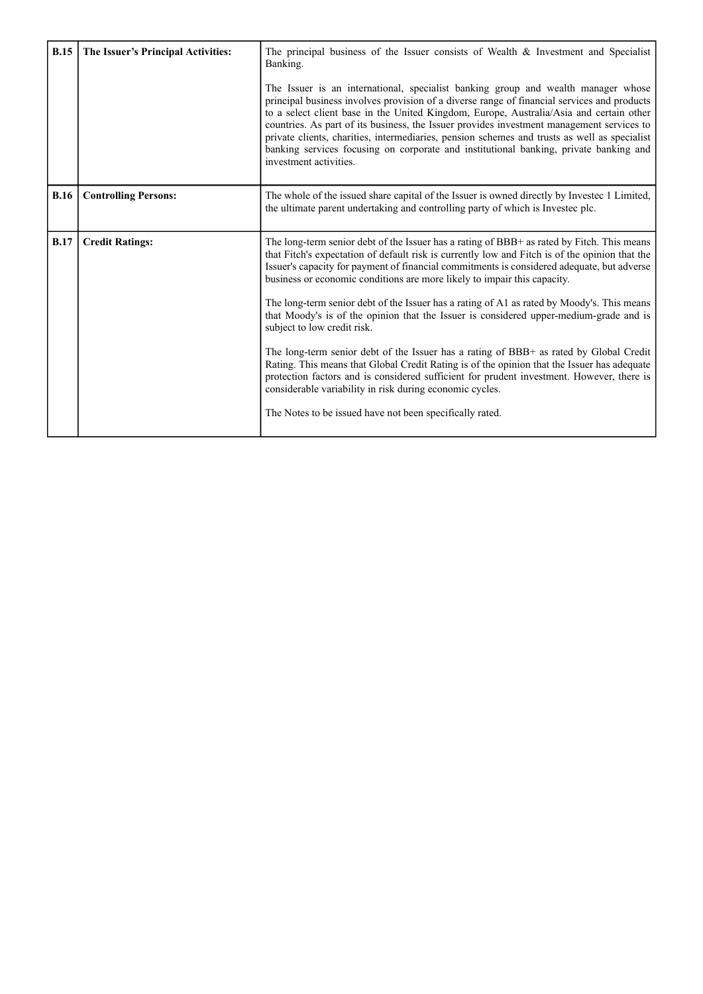| <b>B.15</b> | The Issuer's Principal Activities: | The principal business of the Issuer consists of Wealth $\&$ Investment and Specialist<br>Banking.<br>The Issuer is an international, specialist banking group and wealth manager whose<br>principal business involves provision of a diverse range of financial services and products<br>to a select client base in the United Kingdom, Europe, Australia/Asia and certain other<br>countries. As part of its business, the Issuer provides investment management services to<br>private clients, charities, intermediaries, pension schemes and trusts as well as specialist<br>banking services focusing on corporate and institutional banking, private banking and<br>investment activities.                                                                                                                                                                                                                                                                                                           |
|-------------|------------------------------------|-------------------------------------------------------------------------------------------------------------------------------------------------------------------------------------------------------------------------------------------------------------------------------------------------------------------------------------------------------------------------------------------------------------------------------------------------------------------------------------------------------------------------------------------------------------------------------------------------------------------------------------------------------------------------------------------------------------------------------------------------------------------------------------------------------------------------------------------------------------------------------------------------------------------------------------------------------------------------------------------------------------|
| <b>B.16</b> | <b>Controlling Persons:</b>        | The whole of the issued share capital of the Issuer is owned directly by Investee 1 Limited,<br>the ultimate parent undertaking and controlling party of which is Invested plc.                                                                                                                                                                                                                                                                                                                                                                                                                                                                                                                                                                                                                                                                                                                                                                                                                             |
| <b>B.17</b> | <b>Credit Ratings:</b>             | The long-term senior debt of the Issuer has a rating of BBB+ as rated by Fitch. This means<br>that Fitch's expectation of default risk is currently low and Fitch is of the opinion that the<br>Issuer's capacity for payment of financial commitments is considered adequate, but adverse<br>business or economic conditions are more likely to impair this capacity.<br>The long-term senior debt of the Issuer has a rating of A1 as rated by Moody's. This means<br>that Moody's is of the opinion that the Issuer is considered upper-medium-grade and is<br>subject to low credit risk.<br>The long-term senior debt of the Issuer has a rating of BBB+ as rated by Global Credit<br>Rating. This means that Global Credit Rating is of the opinion that the Issuer has adequate<br>protection factors and is considered sufficient for prudent investment. However, there is<br>considerable variability in risk during economic cycles.<br>The Notes to be issued have not been specifically rated. |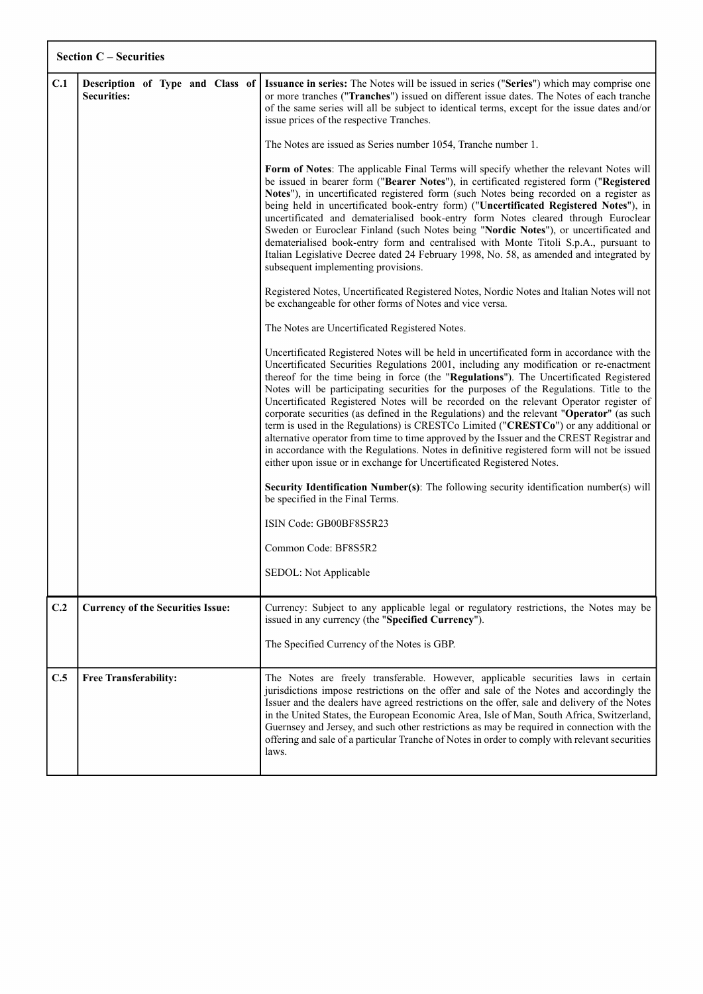|     | <b>Section C - Securities</b>                          |                                                                                                                                                                                                                                                                                                                                                                                                                                                                                                                                                                                                                                                                                                                                                                                                                                                                                                                              |  |  |
|-----|--------------------------------------------------------|------------------------------------------------------------------------------------------------------------------------------------------------------------------------------------------------------------------------------------------------------------------------------------------------------------------------------------------------------------------------------------------------------------------------------------------------------------------------------------------------------------------------------------------------------------------------------------------------------------------------------------------------------------------------------------------------------------------------------------------------------------------------------------------------------------------------------------------------------------------------------------------------------------------------------|--|--|
| C.1 | Description of Type and Class of<br><b>Securities:</b> | Issuance in series: The Notes will be issued in series ("Series") which may comprise one<br>or more tranches ("Tranches") issued on different issue dates. The Notes of each tranche<br>of the same series will all be subject to identical terms, except for the issue dates and/or<br>issue prices of the respective Tranches.<br>The Notes are issued as Series number 1054, Tranche number 1.<br>Form of Notes: The applicable Final Terms will specify whether the relevant Notes will<br>be issued in bearer form ("Bearer Notes"), in certificated registered form ("Registered<br>Notes"), in uncertificated registered form (such Notes being recorded on a register as<br>being held in uncertificated book-entry form) ("Uncertificated Registered Notes"), in                                                                                                                                                    |  |  |
|     |                                                        | uncertificated and dematerialised book-entry form Notes cleared through Euroclear<br>Sweden or Euroclear Finland (such Notes being "Nordic Notes"), or uncertificated and<br>dematerialised book-entry form and centralised with Monte Titoli S.p.A., pursuant to<br>Italian Legislative Decree dated 24 February 1998, No. 58, as amended and integrated by<br>subsequent implementing provisions.                                                                                                                                                                                                                                                                                                                                                                                                                                                                                                                          |  |  |
|     |                                                        | Registered Notes, Uncertificated Registered Notes, Nordic Notes and Italian Notes will not<br>be exchangeable for other forms of Notes and vice versa.                                                                                                                                                                                                                                                                                                                                                                                                                                                                                                                                                                                                                                                                                                                                                                       |  |  |
|     |                                                        | The Notes are Uncertificated Registered Notes.                                                                                                                                                                                                                                                                                                                                                                                                                                                                                                                                                                                                                                                                                                                                                                                                                                                                               |  |  |
|     |                                                        | Uncertificated Registered Notes will be held in uncertificated form in accordance with the<br>Uncertificated Securities Regulations 2001, including any modification or re-enactment<br>thereof for the time being in force (the "Regulations"). The Uncertificated Registered<br>Notes will be participating securities for the purposes of the Regulations. Title to the<br>Uncertificated Registered Notes will be recorded on the relevant Operator register of<br>corporate securities (as defined in the Regulations) and the relevant "Operator" (as such<br>term is used in the Regulations) is CRESTCo Limited ("CRESTCo") or any additional or<br>alternative operator from time to time approved by the Issuer and the CREST Registrar and<br>in accordance with the Regulations. Notes in definitive registered form will not be issued<br>either upon issue or in exchange for Uncertificated Registered Notes. |  |  |
|     |                                                        | <b>Security Identification Number(s)</b> : The following security identification number(s) will<br>be specified in the Final Terms.                                                                                                                                                                                                                                                                                                                                                                                                                                                                                                                                                                                                                                                                                                                                                                                          |  |  |
|     |                                                        | ISIN Code: GB00BF8S5R23                                                                                                                                                                                                                                                                                                                                                                                                                                                                                                                                                                                                                                                                                                                                                                                                                                                                                                      |  |  |
|     |                                                        | Common Code: BF8S5R2                                                                                                                                                                                                                                                                                                                                                                                                                                                                                                                                                                                                                                                                                                                                                                                                                                                                                                         |  |  |
|     |                                                        | SEDOL: Not Applicable                                                                                                                                                                                                                                                                                                                                                                                                                                                                                                                                                                                                                                                                                                                                                                                                                                                                                                        |  |  |
| C.2 | <b>Currency of the Securities Issue:</b>               | Currency: Subject to any applicable legal or regulatory restrictions, the Notes may be<br>issued in any currency (the "Specified Currency").                                                                                                                                                                                                                                                                                                                                                                                                                                                                                                                                                                                                                                                                                                                                                                                 |  |  |
|     |                                                        | The Specified Currency of the Notes is GBP.                                                                                                                                                                                                                                                                                                                                                                                                                                                                                                                                                                                                                                                                                                                                                                                                                                                                                  |  |  |
| C.5 | <b>Free Transferability:</b>                           | The Notes are freely transferable. However, applicable securities laws in certain<br>jurisdictions impose restrictions on the offer and sale of the Notes and accordingly the<br>Issuer and the dealers have agreed restrictions on the offer, sale and delivery of the Notes<br>in the United States, the European Economic Area, Isle of Man, South Africa, Switzerland,<br>Guernsey and Jersey, and such other restrictions as may be required in connection with the<br>offering and sale of a particular Tranche of Notes in order to comply with relevant securities<br>laws.                                                                                                                                                                                                                                                                                                                                          |  |  |

Г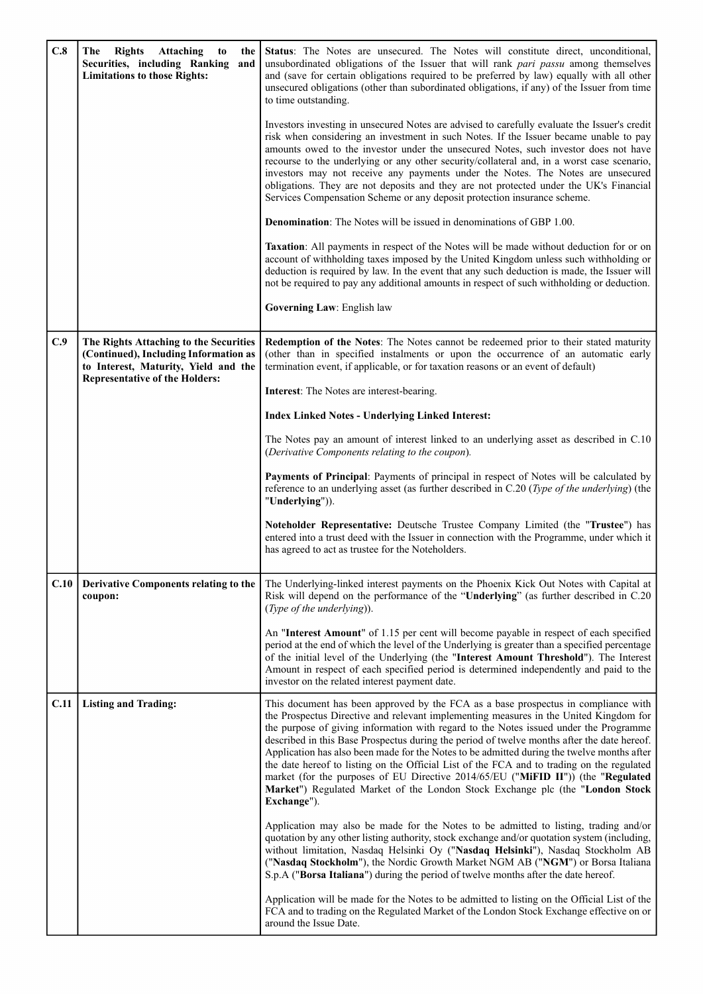| C.8  | <b>Attaching</b><br>The<br><b>Rights</b><br>to<br>the<br>Securities, including Ranking<br>and<br><b>Limitations to those Rights:</b>                             | <b>Status:</b> The Notes are unsecured. The Notes will constitute direct, unconditional,<br>unsubordinated obligations of the Issuer that will rank part passu among themselves<br>and (save for certain obligations required to be preferred by law) equally with all other<br>unsecured obligations (other than subordinated obligations, if any) of the Issuer from time<br>to time outstanding.                                                                                                                                                                                                                                                                                                                                                  |
|------|------------------------------------------------------------------------------------------------------------------------------------------------------------------|------------------------------------------------------------------------------------------------------------------------------------------------------------------------------------------------------------------------------------------------------------------------------------------------------------------------------------------------------------------------------------------------------------------------------------------------------------------------------------------------------------------------------------------------------------------------------------------------------------------------------------------------------------------------------------------------------------------------------------------------------|
|      |                                                                                                                                                                  | Investors investing in unsecured Notes are advised to carefully evaluate the Issuer's credit<br>risk when considering an investment in such Notes. If the Issuer became unable to pay<br>amounts owed to the investor under the unsecured Notes, such investor does not have<br>recourse to the underlying or any other security/collateral and, in a worst case scenario,<br>investors may not receive any payments under the Notes. The Notes are unsecured<br>obligations. They are not deposits and they are not protected under the UK's Financial<br>Services Compensation Scheme or any deposit protection insurance scheme.                                                                                                                  |
|      |                                                                                                                                                                  | <b>Denomination:</b> The Notes will be issued in denominations of GBP 1.00.                                                                                                                                                                                                                                                                                                                                                                                                                                                                                                                                                                                                                                                                          |
|      |                                                                                                                                                                  | <b>Taxation:</b> All payments in respect of the Notes will be made without deduction for or on<br>account of withholding taxes imposed by the United Kingdom unless such withholding or<br>deduction is required by law. In the event that any such deduction is made, the Issuer will<br>not be required to pay any additional amounts in respect of such withholding or deduction.                                                                                                                                                                                                                                                                                                                                                                 |
|      |                                                                                                                                                                  | Governing Law: English law                                                                                                                                                                                                                                                                                                                                                                                                                                                                                                                                                                                                                                                                                                                           |
| C.9  | The Rights Attaching to the Securities<br>(Continued), Including Information as<br>to Interest, Maturity, Yield and the<br><b>Representative of the Holders:</b> | Redemption of the Notes: The Notes cannot be redeemed prior to their stated maturity<br>(other than in specified instalments or upon the occurrence of an automatic early<br>termination event, if applicable, or for taxation reasons or an event of default)                                                                                                                                                                                                                                                                                                                                                                                                                                                                                       |
|      |                                                                                                                                                                  | <b>Interest:</b> The Notes are interest-bearing.                                                                                                                                                                                                                                                                                                                                                                                                                                                                                                                                                                                                                                                                                                     |
|      |                                                                                                                                                                  | <b>Index Linked Notes - Underlying Linked Interest:</b>                                                                                                                                                                                                                                                                                                                                                                                                                                                                                                                                                                                                                                                                                              |
|      |                                                                                                                                                                  | The Notes pay an amount of interest linked to an underlying asset as described in C.10<br>(Derivative Components relating to the coupon).                                                                                                                                                                                                                                                                                                                                                                                                                                                                                                                                                                                                            |
|      |                                                                                                                                                                  | Payments of Principal: Payments of principal in respect of Notes will be calculated by<br>reference to an underlying asset (as further described in C.20 (Type of the underlying) (the<br>"Underlying")).                                                                                                                                                                                                                                                                                                                                                                                                                                                                                                                                            |
|      |                                                                                                                                                                  | Noteholder Representative: Deutsche Trustee Company Limited (the "Trustee") has<br>entered into a trust deed with the Issuer in connection with the Programme, under which it<br>has agreed to act as trustee for the Noteholders.                                                                                                                                                                                                                                                                                                                                                                                                                                                                                                                   |
| C.10 | Derivative Components relating to the<br>coupon:                                                                                                                 | The Underlying-linked interest payments on the Phoenix Kick Out Notes with Capital at<br>Risk will depend on the performance of the "Underlying" (as further described in C.20<br>(Type of the underlying)).                                                                                                                                                                                                                                                                                                                                                                                                                                                                                                                                         |
|      |                                                                                                                                                                  | An "Interest Amount" of 1.15 per cent will become payable in respect of each specified<br>period at the end of which the level of the Underlying is greater than a specified percentage<br>of the initial level of the Underlying (the "Interest Amount Threshold"). The Interest<br>Amount in respect of each specified period is determined independently and paid to the<br>investor on the related interest payment date.                                                                                                                                                                                                                                                                                                                        |
| C.11 | <b>Listing and Trading:</b>                                                                                                                                      | This document has been approved by the FCA as a base prospectus in compliance with<br>the Prospectus Directive and relevant implementing measures in the United Kingdom for<br>the purpose of giving information with regard to the Notes issued under the Programme<br>described in this Base Prospectus during the period of twelve months after the date hereof.<br>Application has also been made for the Notes to be admitted during the twelve months after<br>the date hereof to listing on the Official List of the FCA and to trading on the regulated<br>market (for the purposes of EU Directive 2014/65/EU ("MiFID II")) (the "Regulated<br>Market") Regulated Market of the London Stock Exchange plc (the "London Stock<br>Exchange"). |
|      |                                                                                                                                                                  | Application may also be made for the Notes to be admitted to listing, trading and/or<br>quotation by any other listing authority, stock exchange and/or quotation system (including,<br>without limitation, Nasdaq Helsinki Oy ("Nasdaq Helsinki"), Nasdaq Stockholm AB<br>("Nasdaq Stockholm"), the Nordic Growth Market NGM AB ("NGM") or Borsa Italiana<br>S.p.A ("Borsa Italiana") during the period of twelve months after the date hereof.                                                                                                                                                                                                                                                                                                     |
|      |                                                                                                                                                                  | Application will be made for the Notes to be admitted to listing on the Official List of the<br>FCA and to trading on the Regulated Market of the London Stock Exchange effective on or<br>around the Issue Date.                                                                                                                                                                                                                                                                                                                                                                                                                                                                                                                                    |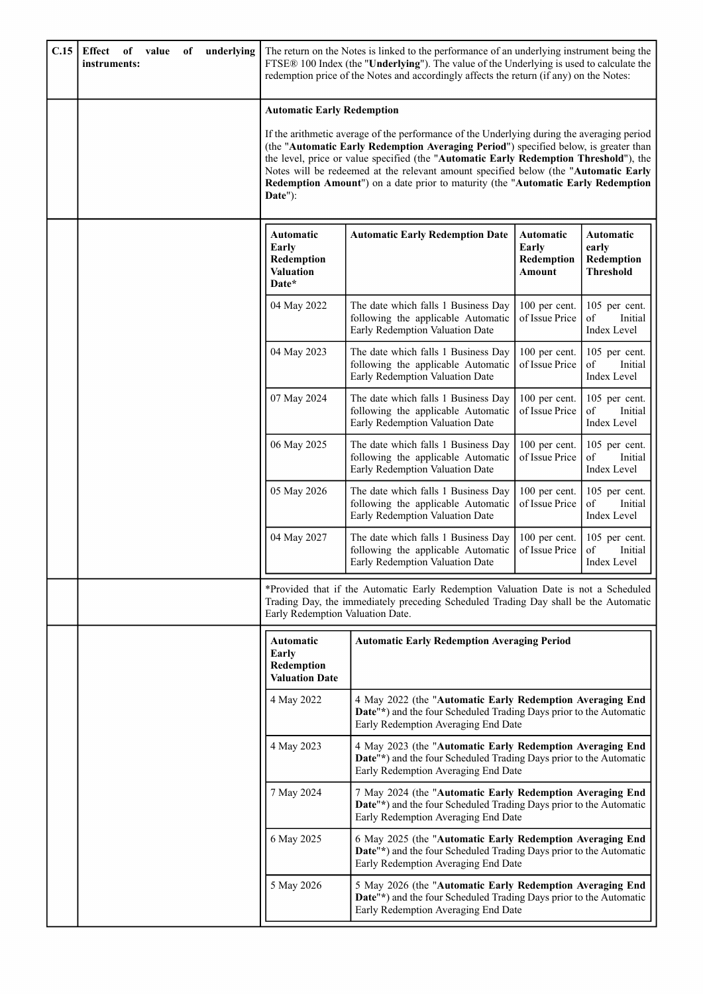| C.15 | Effect<br>of<br>value<br>of<br>instruments: | underlying                                                           | The return on the Notes is linked to the performance of an underlying instrument being the<br>FTSE® 100 Index (the "Underlying"). The value of the Underlying is used to calculate the<br>redemption price of the Notes and accordingly affects the return (if any) on the Notes:                                                                                                                                                                      |                                            |                                                      |
|------|---------------------------------------------|----------------------------------------------------------------------|--------------------------------------------------------------------------------------------------------------------------------------------------------------------------------------------------------------------------------------------------------------------------------------------------------------------------------------------------------------------------------------------------------------------------------------------------------|--------------------------------------------|------------------------------------------------------|
|      |                                             | <b>Automatic Early Redemption</b><br>Date"):                         | If the arithmetic average of the performance of the Underlying during the averaging period<br>(the "Automatic Early Redemption Averaging Period") specified below, is greater than<br>the level, price or value specified (the "Automatic Early Redemption Threshold"), the<br>Notes will be redeemed at the relevant amount specified below (the "Automatic Early<br>Redemption Amount") on a date prior to maturity (the "Automatic Early Redemption |                                            |                                                      |
|      |                                             | <b>Automatic</b><br>Early<br>Redemption<br><b>Valuation</b><br>Date* | <b>Automatic Early Redemption Date</b>                                                                                                                                                                                                                                                                                                                                                                                                                 | Automatic<br>Early<br>Redemption<br>Amount | Automatic<br>early<br>Redemption<br><b>Threshold</b> |
|      |                                             | 04 May 2022                                                          | The date which falls 1 Business Day<br>following the applicable Automatic<br>Early Redemption Valuation Date                                                                                                                                                                                                                                                                                                                                           | 100 per cent.<br>of Issue Price            | 105 per cent.<br>of<br>Initial<br>Index Level        |
|      |                                             | 04 May 2023                                                          | The date which falls 1 Business Day<br>following the applicable Automatic<br>Early Redemption Valuation Date                                                                                                                                                                                                                                                                                                                                           | 100 per cent.<br>of Issue Price            | 105 per cent.<br>of<br>Initial<br>Index Level        |
|      |                                             | 07 May 2024                                                          | The date which falls 1 Business Day<br>following the applicable Automatic<br>Early Redemption Valuation Date                                                                                                                                                                                                                                                                                                                                           | 100 per cent.<br>of Issue Price            | 105 per cent.<br>of<br>Initial<br>Index Level        |
|      |                                             | 06 May 2025                                                          | The date which falls 1 Business Day<br>following the applicable Automatic<br>Early Redemption Valuation Date                                                                                                                                                                                                                                                                                                                                           | 100 per cent.<br>of Issue Price            | 105 per cent.<br>of<br>Initial<br>Index Level        |
|      |                                             | 05 May 2026                                                          | The date which falls 1 Business Day<br>following the applicable Automatic<br>Early Redemption Valuation Date                                                                                                                                                                                                                                                                                                                                           | 100 per cent.<br>of Issue Price            | 105 per cent.<br>of<br>Initial<br>Index Level        |
|      |                                             | 04 May 2027                                                          | The date which falls 1 Business Day<br>following the applicable Automatic<br>Early Redemption Valuation Date                                                                                                                                                                                                                                                                                                                                           | 100 per cent.<br>of Issue Price            | 105 per cent.<br>of<br>Initial<br>Index Level        |
|      |                                             |                                                                      | *Provided that if the Automatic Early Redemption Valuation Date is not a Scheduled<br>Trading Day, the immediately preceding Scheduled Trading Day shall be the Automatic<br>Early Redemption Valuation Date.                                                                                                                                                                                                                                          |                                            |                                                      |
|      |                                             | <b>Automatic</b><br>Early<br>Redemption<br><b>Valuation Date</b>     | <b>Automatic Early Redemption Averaging Period</b>                                                                                                                                                                                                                                                                                                                                                                                                     |                                            |                                                      |
|      |                                             | 4 May 2022                                                           | 4 May 2022 (the "Automatic Early Redemption Averaging End<br>Date"*) and the four Scheduled Trading Days prior to the Automatic<br>Early Redemption Averaging End Date                                                                                                                                                                                                                                                                                 |                                            |                                                      |
|      |                                             | 4 May 2023                                                           | 4 May 2023 (the "Automatic Early Redemption Averaging End<br>Date"*) and the four Scheduled Trading Days prior to the Automatic<br>Early Redemption Averaging End Date                                                                                                                                                                                                                                                                                 |                                            |                                                      |
|      |                                             | 7 May 2024                                                           | 7 May 2024 (the "Automatic Early Redemption Averaging End<br>Date"*) and the four Scheduled Trading Days prior to the Automatic<br>Early Redemption Averaging End Date                                                                                                                                                                                                                                                                                 |                                            |                                                      |
|      |                                             | 6 May 2025                                                           | 6 May 2025 (the "Automatic Early Redemption Averaging End<br>Date"*) and the four Scheduled Trading Days prior to the Automatic<br>Early Redemption Averaging End Date                                                                                                                                                                                                                                                                                 |                                            |                                                      |
|      |                                             | 5 May 2026                                                           | 5 May 2026 (the "Automatic Early Redemption Averaging End<br>Date"*) and the four Scheduled Trading Days prior to the Automatic<br>Early Redemption Averaging End Date                                                                                                                                                                                                                                                                                 |                                            |                                                      |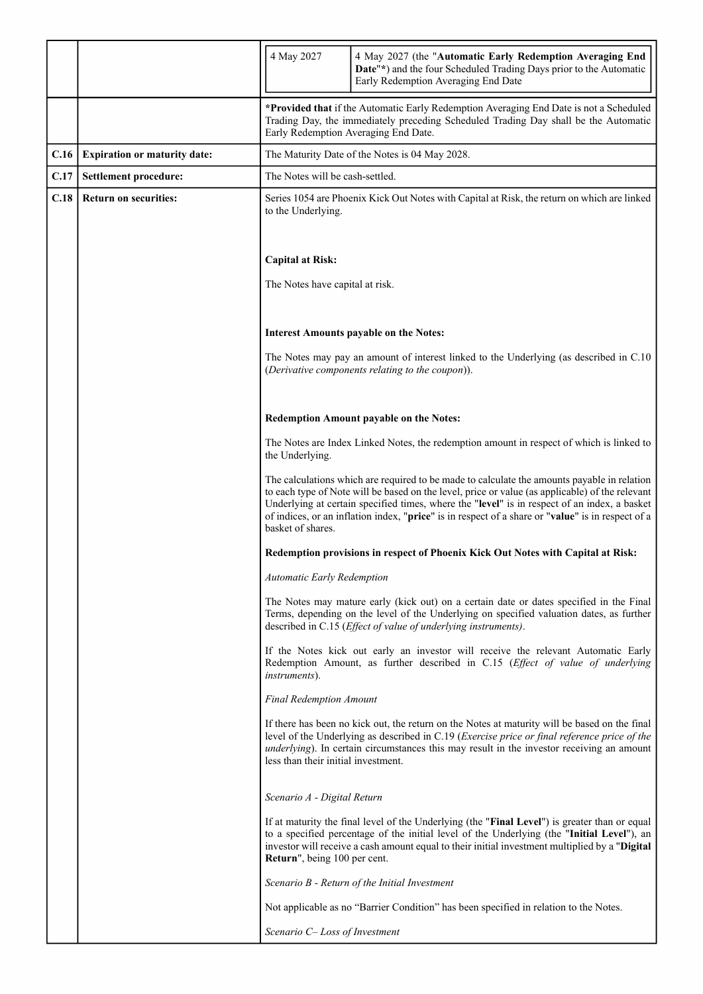|      |                                     | 4 May 2027                                                                                                                                                                                                                                                                                                                                                                                                               | 4 May 2027 (the "Automatic Early Redemption Averaging End<br>Date"*) and the four Scheduled Trading Days prior to the Automatic<br>Early Redemption Averaging End Date                                                                                                                             |
|------|-------------------------------------|--------------------------------------------------------------------------------------------------------------------------------------------------------------------------------------------------------------------------------------------------------------------------------------------------------------------------------------------------------------------------------------------------------------------------|----------------------------------------------------------------------------------------------------------------------------------------------------------------------------------------------------------------------------------------------------------------------------------------------------|
|      |                                     | *Provided that if the Automatic Early Redemption Averaging End Date is not a Scheduled<br>Trading Day, the immediately preceding Scheduled Trading Day shall be the Automatic<br>Early Redemption Averaging End Date.                                                                                                                                                                                                    |                                                                                                                                                                                                                                                                                                    |
| C.16 | <b>Expiration or maturity date:</b> | The Maturity Date of the Notes is 04 May 2028.                                                                                                                                                                                                                                                                                                                                                                           |                                                                                                                                                                                                                                                                                                    |
| C.17 | Settlement procedure:               | The Notes will be cash-settled.                                                                                                                                                                                                                                                                                                                                                                                          |                                                                                                                                                                                                                                                                                                    |
| C.18 | <b>Return on securities:</b>        | Series 1054 are Phoenix Kick Out Notes with Capital at Risk, the return on which are linked<br>to the Underlying.                                                                                                                                                                                                                                                                                                        |                                                                                                                                                                                                                                                                                                    |
|      |                                     | <b>Capital at Risk:</b>                                                                                                                                                                                                                                                                                                                                                                                                  |                                                                                                                                                                                                                                                                                                    |
|      |                                     | The Notes have capital at risk.                                                                                                                                                                                                                                                                                                                                                                                          |                                                                                                                                                                                                                                                                                                    |
|      |                                     |                                                                                                                                                                                                                                                                                                                                                                                                                          | <b>Interest Amounts payable on the Notes:</b>                                                                                                                                                                                                                                                      |
|      |                                     |                                                                                                                                                                                                                                                                                                                                                                                                                          | The Notes may pay an amount of interest linked to the Underlying (as described in C.10)<br>(Derivative components relating to the coupon)).                                                                                                                                                        |
|      |                                     |                                                                                                                                                                                                                                                                                                                                                                                                                          | <b>Redemption Amount payable on the Notes:</b>                                                                                                                                                                                                                                                     |
|      |                                     | The Notes are Index Linked Notes, the redemption amount in respect of which is linked to<br>the Underlying.                                                                                                                                                                                                                                                                                                              |                                                                                                                                                                                                                                                                                                    |
|      |                                     | The calculations which are required to be made to calculate the amounts payable in relation<br>to each type of Note will be based on the level, price or value (as applicable) of the relevant<br>Underlying at certain specified times, where the "level" is in respect of an index, a basket<br>of indices, or an inflation index, "price" is in respect of a share or "value" is in respect of a<br>basket of shares. |                                                                                                                                                                                                                                                                                                    |
|      |                                     |                                                                                                                                                                                                                                                                                                                                                                                                                          | Redemption provisions in respect of Phoenix Kick Out Notes with Capital at Risk:                                                                                                                                                                                                                   |
|      |                                     | <b>Automatic Early Redemption</b>                                                                                                                                                                                                                                                                                                                                                                                        |                                                                                                                                                                                                                                                                                                    |
|      |                                     |                                                                                                                                                                                                                                                                                                                                                                                                                          | The Notes may mature early (kick out) on a certain date or dates specified in the Final<br>Terms, depending on the level of the Underlying on specified valuation dates, as further<br>described in C.15 ( <i>Effect of value of underlying instruments</i> ).                                     |
|      |                                     | <i>instruments</i> ).                                                                                                                                                                                                                                                                                                                                                                                                    | If the Notes kick out early an investor will receive the relevant Automatic Early<br>Redemption Amount, as further described in C.15 (Effect of value of underlying                                                                                                                                |
|      |                                     | <b>Final Redemption Amount</b>                                                                                                                                                                                                                                                                                                                                                                                           |                                                                                                                                                                                                                                                                                                    |
|      |                                     | less than their initial investment.                                                                                                                                                                                                                                                                                                                                                                                      | If there has been no kick out, the return on the Notes at maturity will be based on the final<br>level of the Underlying as described in C.19 (Exercise price or final reference price of the<br><i>underlying</i> ). In certain circumstances this may result in the investor receiving an amount |
|      |                                     | Scenario A - Digital Return                                                                                                                                                                                                                                                                                                                                                                                              |                                                                                                                                                                                                                                                                                                    |
|      |                                     | Return", being 100 per cent.                                                                                                                                                                                                                                                                                                                                                                                             | If at maturity the final level of the Underlying (the "Final Level") is greater than or equal<br>to a specified percentage of the initial level of the Underlying (the "Initial Level"), an<br>investor will receive a cash amount equal to their initial investment multiplied by a "Digital"     |
|      |                                     |                                                                                                                                                                                                                                                                                                                                                                                                                          | Scenario B - Return of the Initial Investment                                                                                                                                                                                                                                                      |
|      |                                     |                                                                                                                                                                                                                                                                                                                                                                                                                          | Not applicable as no "Barrier Condition" has been specified in relation to the Notes.                                                                                                                                                                                                              |
|      |                                     | Scenario C-Loss of Investment                                                                                                                                                                                                                                                                                                                                                                                            |                                                                                                                                                                                                                                                                                                    |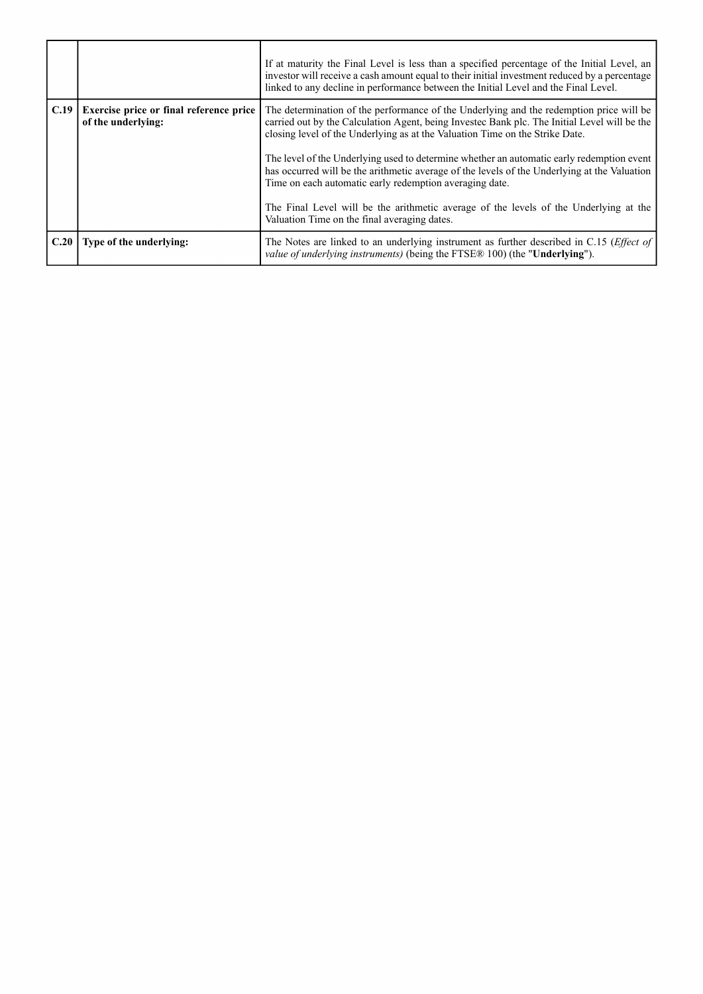|      |                                                               | If at maturity the Final Level is less than a specified percentage of the Initial Level, an<br>investor will receive a cash amount equal to their initial investment reduced by a percentage<br>linked to any decline in performance between the Initial Level and the Final Level. |
|------|---------------------------------------------------------------|-------------------------------------------------------------------------------------------------------------------------------------------------------------------------------------------------------------------------------------------------------------------------------------|
| C.19 | Exercise price or final reference price<br>of the underlying: | The determination of the performance of the Underlying and the redemption price will be<br>carried out by the Calculation Agent, being Invested Bank plc. The Initial Level will be the<br>closing level of the Underlying as at the Valuation Time on the Strike Date.             |
|      |                                                               | The level of the Underlying used to determine whether an automatic early redemption event<br>has occurred will be the arithmetic average of the levels of the Underlying at the Valuation<br>Time on each automatic early redemption averaging date.                                |
|      |                                                               | The Final Level will be the arithmetic average of the levels of the Underlying at the<br>Valuation Time on the final averaging dates.                                                                                                                                               |
| C.20 | Type of the underlying:                                       | The Notes are linked to an underlying instrument as further described in C.15 ( <i>Effect of</i> )<br><i>value of underlying instruments</i> ) (being the FTSE® 100) (the "Underlying").                                                                                            |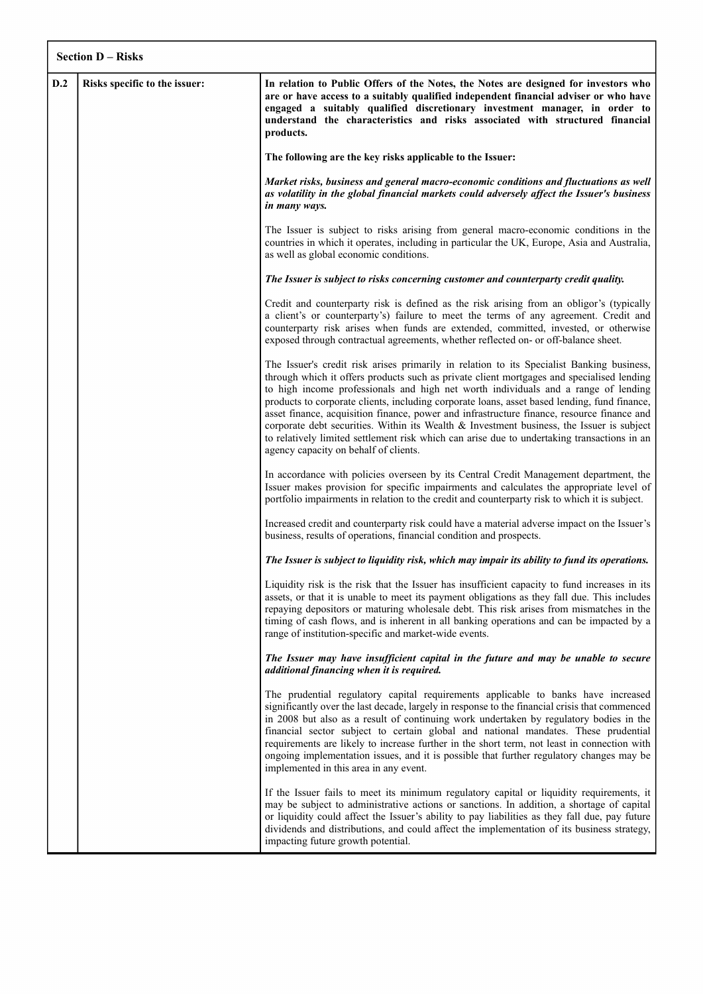|     | <b>Section D – Risks</b>      |                                                                                                                                                                                                                                                                                                                                                                                                                                                                                                                                                                                                                                                                                                                    |  |
|-----|-------------------------------|--------------------------------------------------------------------------------------------------------------------------------------------------------------------------------------------------------------------------------------------------------------------------------------------------------------------------------------------------------------------------------------------------------------------------------------------------------------------------------------------------------------------------------------------------------------------------------------------------------------------------------------------------------------------------------------------------------------------|--|
| D.2 | Risks specific to the issuer: | In relation to Public Offers of the Notes, the Notes are designed for investors who<br>are or have access to a suitably qualified independent financial adviser or who have<br>engaged a suitably qualified discretionary investment manager, in order to<br>understand the characteristics and risks associated with structured financial<br>products.                                                                                                                                                                                                                                                                                                                                                            |  |
|     |                               | The following are the key risks applicable to the Issuer:                                                                                                                                                                                                                                                                                                                                                                                                                                                                                                                                                                                                                                                          |  |
|     |                               | Market risks, business and general macro-economic conditions and fluctuations as well<br>as volatility in the global financial markets could adversely affect the Issuer's business<br>in many ways.                                                                                                                                                                                                                                                                                                                                                                                                                                                                                                               |  |
|     |                               | The Issuer is subject to risks arising from general macro-economic conditions in the<br>countries in which it operates, including in particular the UK, Europe, Asia and Australia,<br>as well as global economic conditions.                                                                                                                                                                                                                                                                                                                                                                                                                                                                                      |  |
|     |                               | The Issuer is subject to risks concerning customer and counterparty credit quality.                                                                                                                                                                                                                                                                                                                                                                                                                                                                                                                                                                                                                                |  |
|     |                               | Credit and counterparty risk is defined as the risk arising from an obligor's (typically<br>a client's or counterparty's) failure to meet the terms of any agreement. Credit and<br>counterparty risk arises when funds are extended, committed, invested, or otherwise<br>exposed through contractual agreements, whether reflected on- or off-balance sheet.                                                                                                                                                                                                                                                                                                                                                     |  |
|     |                               | The Issuer's credit risk arises primarily in relation to its Specialist Banking business,<br>through which it offers products such as private client mortgages and specialised lending<br>to high income professionals and high net worth individuals and a range of lending<br>products to corporate clients, including corporate loans, asset based lending, fund finance,<br>asset finance, acquisition finance, power and infrastructure finance, resource finance and<br>corporate debt securities. Within its Wealth $\&$ Investment business, the Issuer is subject<br>to relatively limited settlement risk which can arise due to undertaking transactions in an<br>agency capacity on behalf of clients. |  |
|     |                               | In accordance with policies overseen by its Central Credit Management department, the<br>Issuer makes provision for specific impairments and calculates the appropriate level of<br>portfolio impairments in relation to the credit and counterparty risk to which it is subject.                                                                                                                                                                                                                                                                                                                                                                                                                                  |  |
|     |                               | Increased credit and counterparty risk could have a material adverse impact on the Issuer's<br>business, results of operations, financial condition and prospects.                                                                                                                                                                                                                                                                                                                                                                                                                                                                                                                                                 |  |
|     |                               | The Issuer is subject to liquidity risk, which may impair its ability to fund its operations.                                                                                                                                                                                                                                                                                                                                                                                                                                                                                                                                                                                                                      |  |
|     |                               | Liquidity risk is the risk that the Issuer has insufficient capacity to fund increases in its<br>assets, or that it is unable to meet its payment obligations as they fall due. This includes<br>repaying depositors or maturing wholesale debt. This risk arises from mismatches in the<br>timing of cash flows, and is inherent in all banking operations and can be impacted by a<br>range of institution-specific and market-wide events.                                                                                                                                                                                                                                                                      |  |
|     |                               | The Issuer may have insufficient capital in the future and may be unable to secure<br>additional financing when it is required.                                                                                                                                                                                                                                                                                                                                                                                                                                                                                                                                                                                    |  |
|     |                               | The prudential regulatory capital requirements applicable to banks have increased<br>significantly over the last decade, largely in response to the financial crisis that commenced<br>in 2008 but also as a result of continuing work undertaken by regulatory bodies in the<br>financial sector subject to certain global and national mandates. These prudential<br>requirements are likely to increase further in the short term, not least in connection with<br>ongoing implementation issues, and it is possible that further regulatory changes may be<br>implemented in this area in any event.                                                                                                           |  |
|     |                               | If the Issuer fails to meet its minimum regulatory capital or liquidity requirements, it<br>may be subject to administrative actions or sanctions. In addition, a shortage of capital<br>or liquidity could affect the Issuer's ability to pay liabilities as they fall due, pay future<br>dividends and distributions, and could affect the implementation of its business strategy,<br>impacting future growth potential.                                                                                                                                                                                                                                                                                        |  |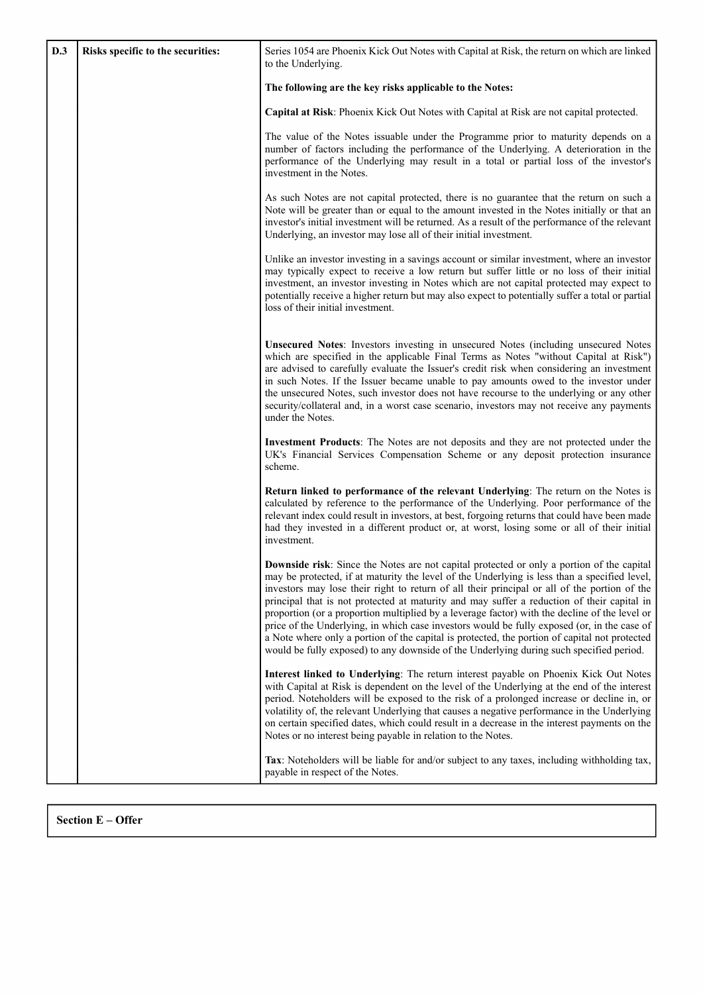| D.3 | Risks specific to the securities: | Series 1054 are Phoenix Kick Out Notes with Capital at Risk, the return on which are linked<br>to the Underlying.                                                                                                                                                                                                                                                                                                                                                                                                                                                                                                                                                                                                                                                                           |
|-----|-----------------------------------|---------------------------------------------------------------------------------------------------------------------------------------------------------------------------------------------------------------------------------------------------------------------------------------------------------------------------------------------------------------------------------------------------------------------------------------------------------------------------------------------------------------------------------------------------------------------------------------------------------------------------------------------------------------------------------------------------------------------------------------------------------------------------------------------|
|     |                                   | The following are the key risks applicable to the Notes:                                                                                                                                                                                                                                                                                                                                                                                                                                                                                                                                                                                                                                                                                                                                    |
|     |                                   | <b>Capital at Risk:</b> Phoenix Kick Out Notes with Capital at Risk are not capital protected.                                                                                                                                                                                                                                                                                                                                                                                                                                                                                                                                                                                                                                                                                              |
|     |                                   | The value of the Notes issuable under the Programme prior to maturity depends on a<br>number of factors including the performance of the Underlying. A deterioration in the<br>performance of the Underlying may result in a total or partial loss of the investor's<br>investment in the Notes.                                                                                                                                                                                                                                                                                                                                                                                                                                                                                            |
|     |                                   | As such Notes are not capital protected, there is no guarantee that the return on such a<br>Note will be greater than or equal to the amount invested in the Notes initially or that an<br>investor's initial investment will be returned. As a result of the performance of the relevant<br>Underlying, an investor may lose all of their initial investment.                                                                                                                                                                                                                                                                                                                                                                                                                              |
|     |                                   | Unlike an investor investing in a savings account or similar investment, where an investor<br>may typically expect to receive a low return but suffer little or no loss of their initial<br>investment, an investor investing in Notes which are not capital protected may expect to<br>potentially receive a higher return but may also expect to potentially suffer a total or partial<br>loss of their initial investment.                                                                                                                                                                                                                                                                                                                                                               |
|     |                                   | Unsecured Notes: Investors investing in unsecured Notes (including unsecured Notes<br>which are specified in the applicable Final Terms as Notes "without Capital at Risk")<br>are advised to carefully evaluate the Issuer's credit risk when considering an investment<br>in such Notes. If the Issuer became unable to pay amounts owed to the investor under<br>the unsecured Notes, such investor does not have recourse to the underlying or any other<br>security/collateral and, in a worst case scenario, investors may not receive any payments<br>under the Notes.                                                                                                                                                                                                               |
|     |                                   | Investment Products: The Notes are not deposits and they are not protected under the<br>UK's Financial Services Compensation Scheme or any deposit protection insurance<br>scheme.                                                                                                                                                                                                                                                                                                                                                                                                                                                                                                                                                                                                          |
|     |                                   | Return linked to performance of the relevant Underlying: The return on the Notes is<br>calculated by reference to the performance of the Underlying. Poor performance of the<br>relevant index could result in investors, at best, forgoing returns that could have been made<br>had they invested in a different product or, at worst, losing some or all of their initial<br>investment.                                                                                                                                                                                                                                                                                                                                                                                                  |
|     |                                   | <b>Downside risk</b> : Since the Notes are not capital protected or only a portion of the capital<br>may be protected, if at maturity the level of the Underlying is less than a specified level,<br>investors may lose their right to return of all their principal or all of the portion of the<br>principal that is not protected at maturity and may suffer a reduction of their capital in<br>proportion (or a proportion multiplied by a leverage factor) with the decline of the level or<br>price of the Underlying, in which case investors would be fully exposed (or, in the case of<br>a Note where only a portion of the capital is protected, the portion of capital not protected<br>would be fully exposed) to any downside of the Underlying during such specified period. |
|     |                                   | Interest linked to Underlying: The return interest payable on Phoenix Kick Out Notes<br>with Capital at Risk is dependent on the level of the Underlying at the end of the interest<br>period. Noteholders will be exposed to the risk of a prolonged increase or decline in, or<br>volatility of, the relevant Underlying that causes a negative performance in the Underlying<br>on certain specified dates, which could result in a decrease in the interest payments on the<br>Notes or no interest being payable in relation to the Notes.                                                                                                                                                                                                                                             |
|     |                                   | Tax: Noteholders will be liable for and/or subject to any taxes, including withholding tax,<br>payable in respect of the Notes.                                                                                                                                                                                                                                                                                                                                                                                                                                                                                                                                                                                                                                                             |